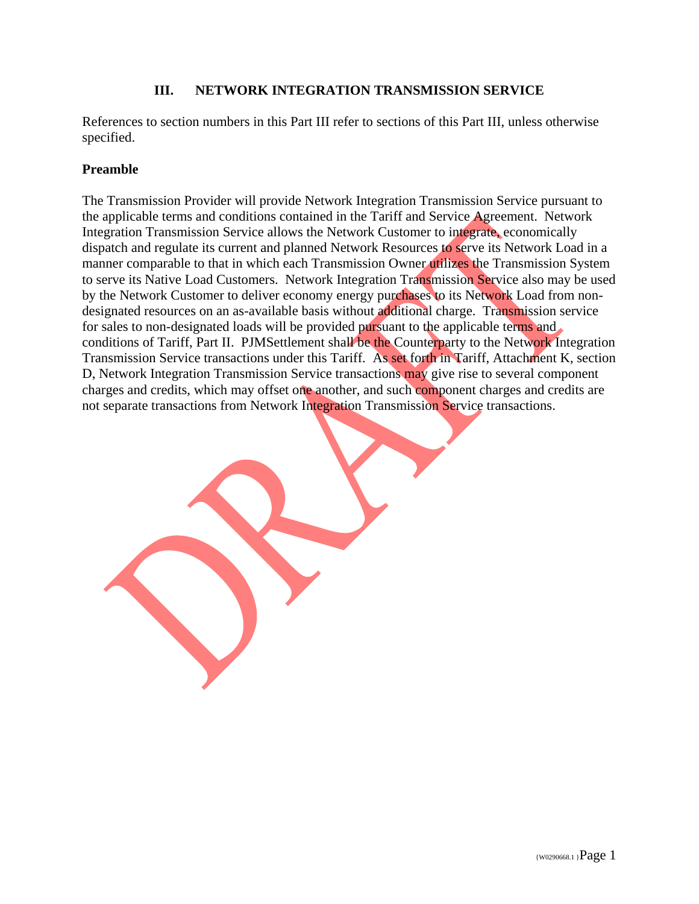## **III. NETWORK INTEGRATION TRANSMISSION SERVICE**

References to section numbers in this Part III refer to sections of this Part III, unless otherwise specified.

## **Preamble**

The Transmission Provider will provide Network Integration Transmission Service pursuant to the applicable terms and conditions contained in the Tariff and Service Agreement. Network Integration Transmission Service allows the Network Customer to integrate, economically dispatch and regulate its current and planned Network Resources to serve its Network Load in a manner comparable to that in which each Transmission Owner utilizes the Transmission System to serve its Native Load Customers. Network Integration Transmission Service also may be used by the Network Customer to deliver economy energy purchases to its Network Load from nondesignated resources on an as-available basis without additional charge. Transmission service for sales to non-designated loads will be provided pursuant to the applicable terms and conditions of Tariff, Part II. PJMSettlement shall be the Counterparty to the Network Integration Transmission Service transactions under this Tariff.As set forth in Tariff, Attachment K, section D, Network Integration Transmission Service transactions may give rise to several component charges and credits, which may offset one another, and such component charges and credits are not separate transactions from Network Integration Transmission Service transactions.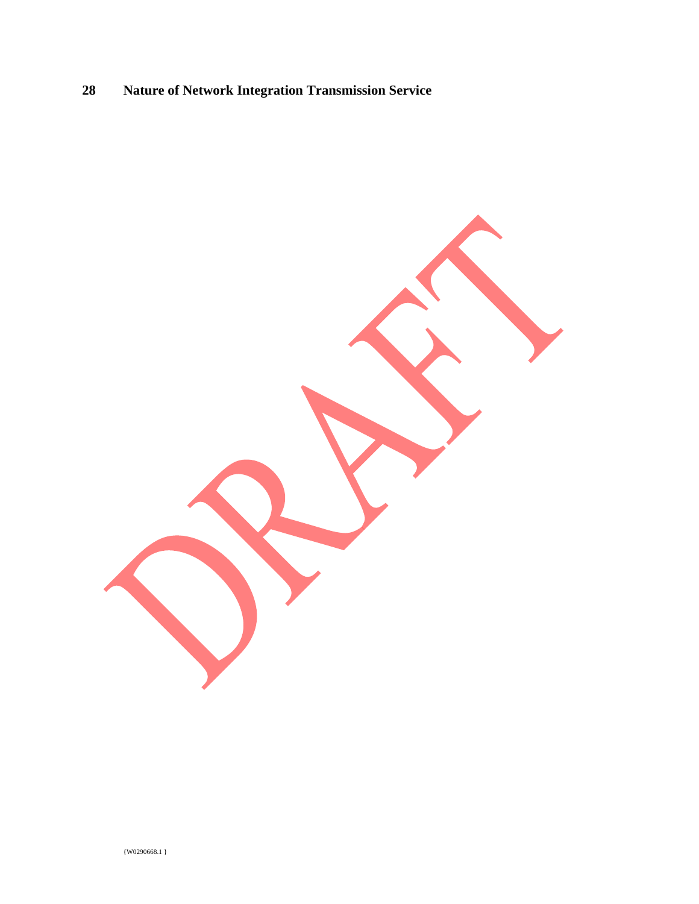## **28 Nature of Network Integration Transmission Service**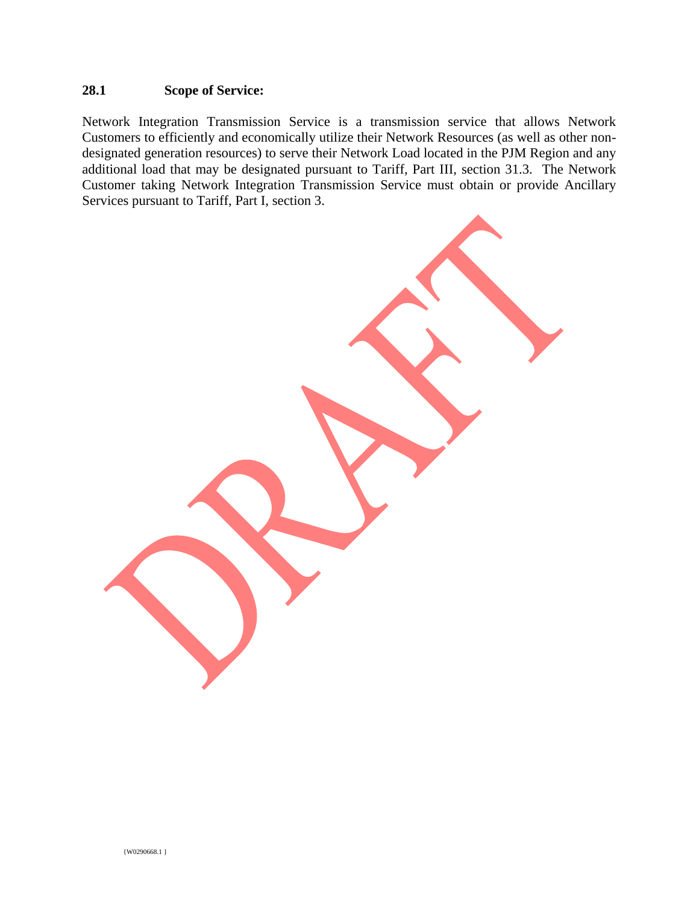## **28.1 Scope of Service:**

Network Integration Transmission Service is a transmission service that allows Network Customers to efficiently and economically utilize their Network Resources (as well as other nondesignated generation resources) to serve their Network Load located in the PJM Region and any additional load that may be designated pursuant to Tariff, Part III, section 31.3. The Network Customer taking Network Integration Transmission Service must obtain or provide Ancillary Services pursuant to Tariff, Part I, section 3.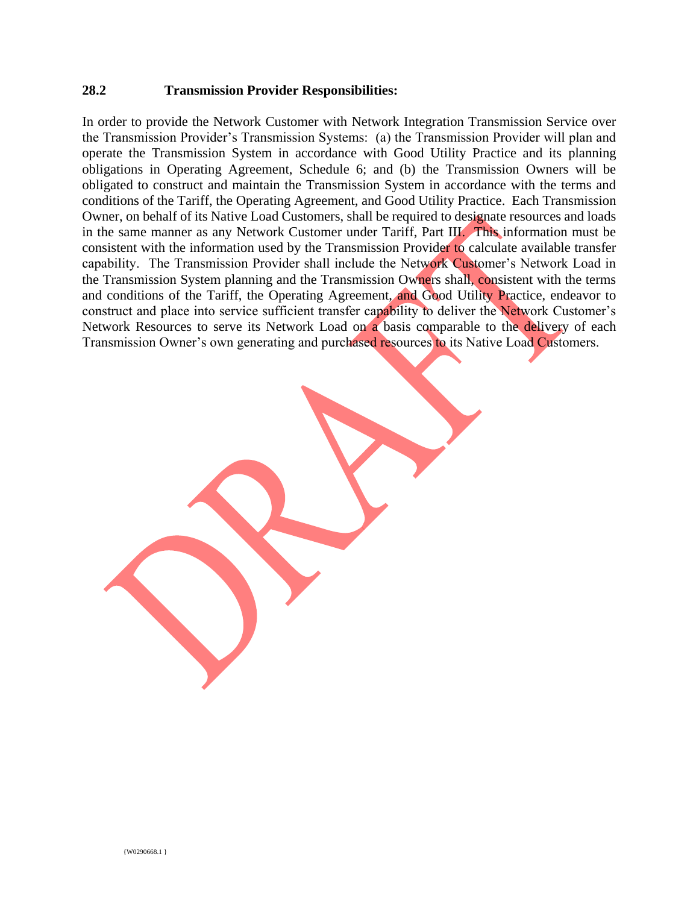#### **28.2 Transmission Provider Responsibilities:**

In order to provide the Network Customer with Network Integration Transmission Service over the Transmission Provider's Transmission Systems: (a) the Transmission Provider will plan and operate the Transmission System in accordance with Good Utility Practice and its planning obligations in Operating Agreement, Schedule 6; and (b) the Transmission Owners will be obligated to construct and maintain the Transmission System in accordance with the terms and conditions of the Tariff, the Operating Agreement, and Good Utility Practice. Each Transmission Owner, on behalf of its Native Load Customers, shall be required to designate resources and loads in the same manner as any Network Customer under Tariff, Part III. This information must be consistent with the information used by the Transmission Provider to calculate available transfer capability. The Transmission Provider shall include the Network Customer's Network Load in the Transmission System planning and the Transmission Owners shall, consistent with the terms and conditions of the Tariff, the Operating Agreement, and Good Utility Practice, endeavor to construct and place into service sufficient transfer capability to deliver the Network Customer's Network Resources to serve its Network Load on a basis comparable to the delivery of each Transmission Owner's own generating and purchased resources to its Native Load Customers.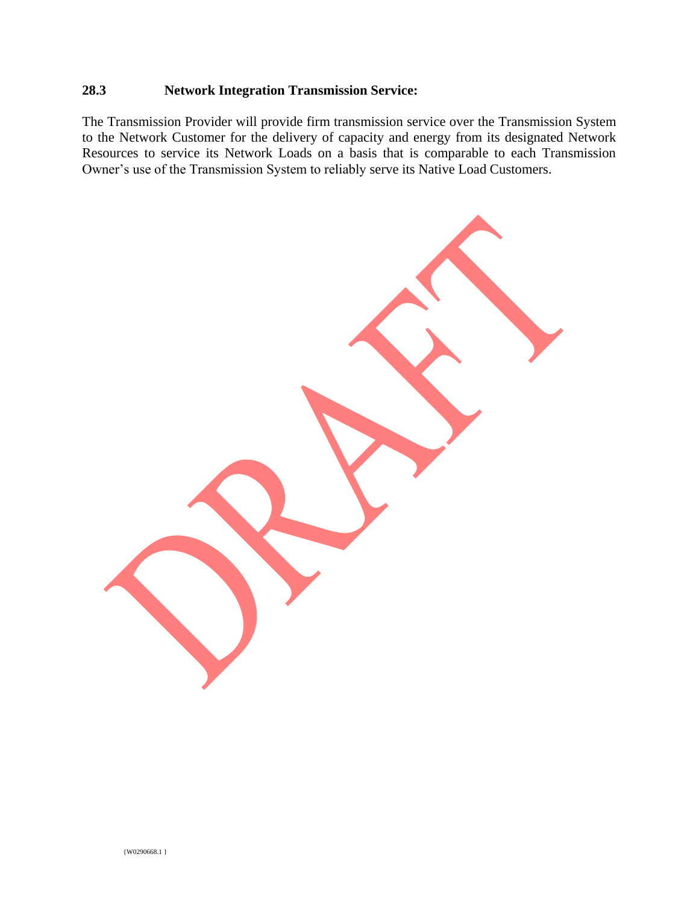## **28.3 Network Integration Transmission Service:**

The Transmission Provider will provide firm transmission service over the Transmission System to the Network Customer for the delivery of capacity and energy from its designated Network Resources to service its Network Loads on a basis that is comparable to each Transmission Owner's use of the Transmission System to reliably serve its Native Load Customers.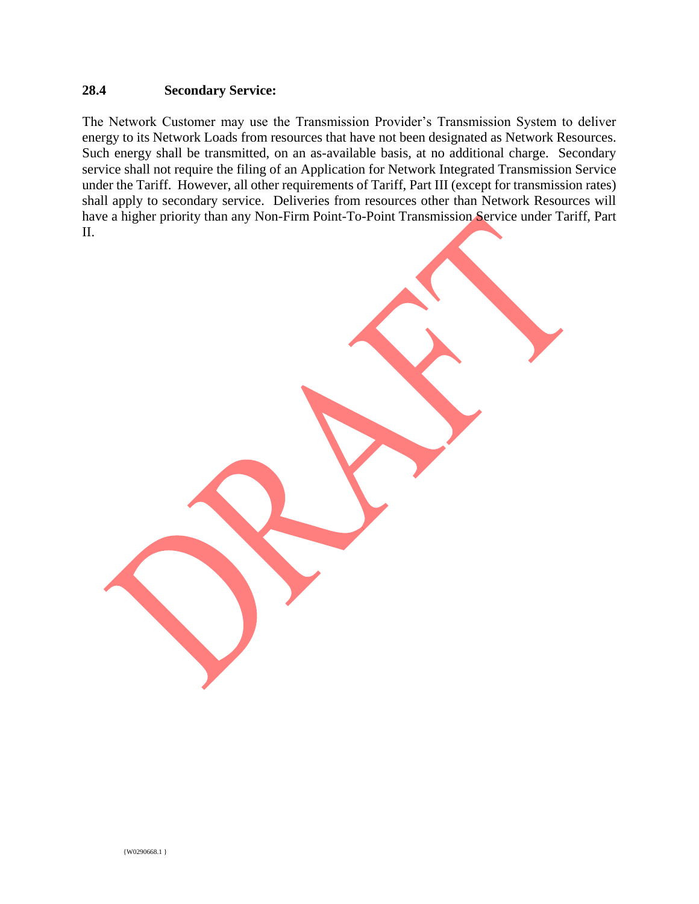#### **28.4 Secondary Service:**

The Network Customer may use the Transmission Provider's Transmission System to deliver energy to its Network Loads from resources that have not been designated as Network Resources. Such energy shall be transmitted, on an as-available basis, at no additional charge. Secondary service shall not require the filing of an Application for Network Integrated Transmission Service under the Tariff. However, all other requirements of Tariff, Part III (except for transmission rates) shall apply to secondary service. Deliveries from resources other than Network Resources will have a higher priority than any Non-Firm Point-To-Point Transmission Service under Tariff, Part II.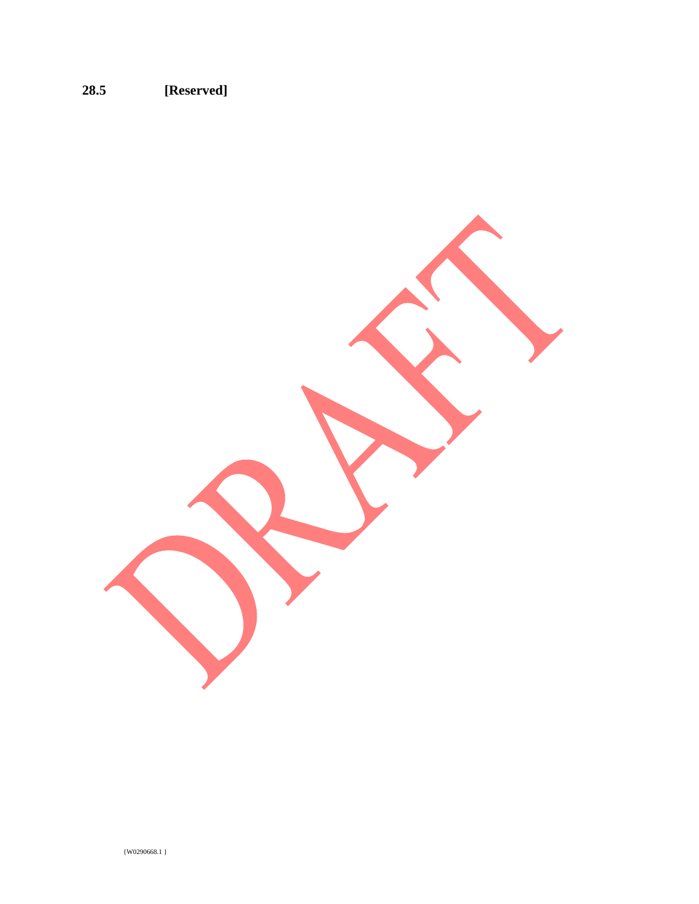# **28.5 [Reserved]**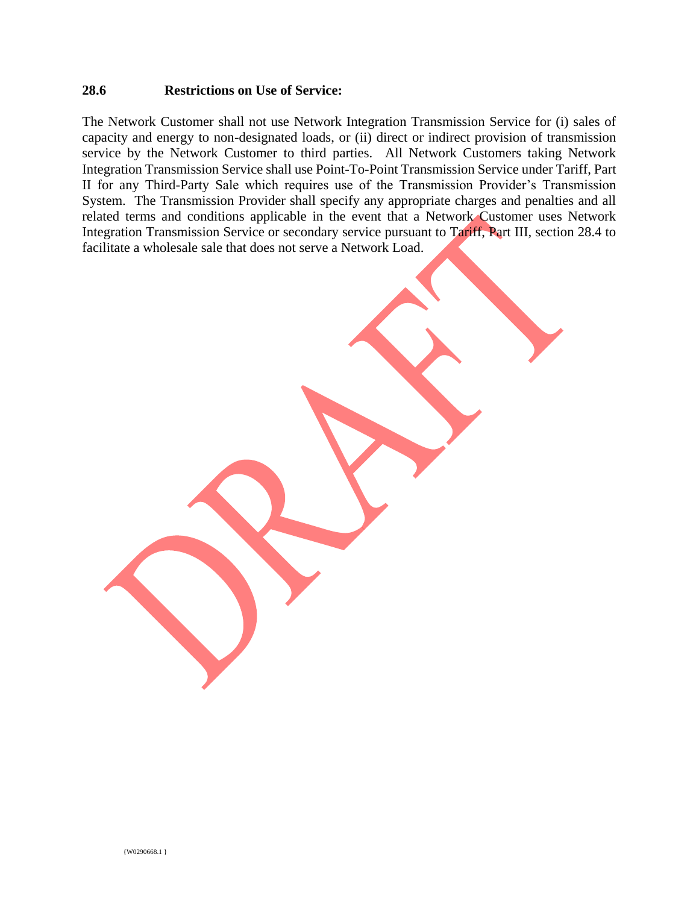#### **28.6 Restrictions on Use of Service:**

The Network Customer shall not use Network Integration Transmission Service for (i) sales of capacity and energy to non-designated loads, or (ii) direct or indirect provision of transmission service by the Network Customer to third parties. All Network Customers taking Network Integration Transmission Service shall use Point-To-Point Transmission Service under Tariff, Part II for any Third-Party Sale which requires use of the Transmission Provider's Transmission System. The Transmission Provider shall specify any appropriate charges and penalties and all related terms and conditions applicable in the event that a Network Customer uses Network Integration Transmission Service or secondary service pursuant to Tariff, Part III, section 28.4 to facilitate a wholesale sale that does not serve a Network Load.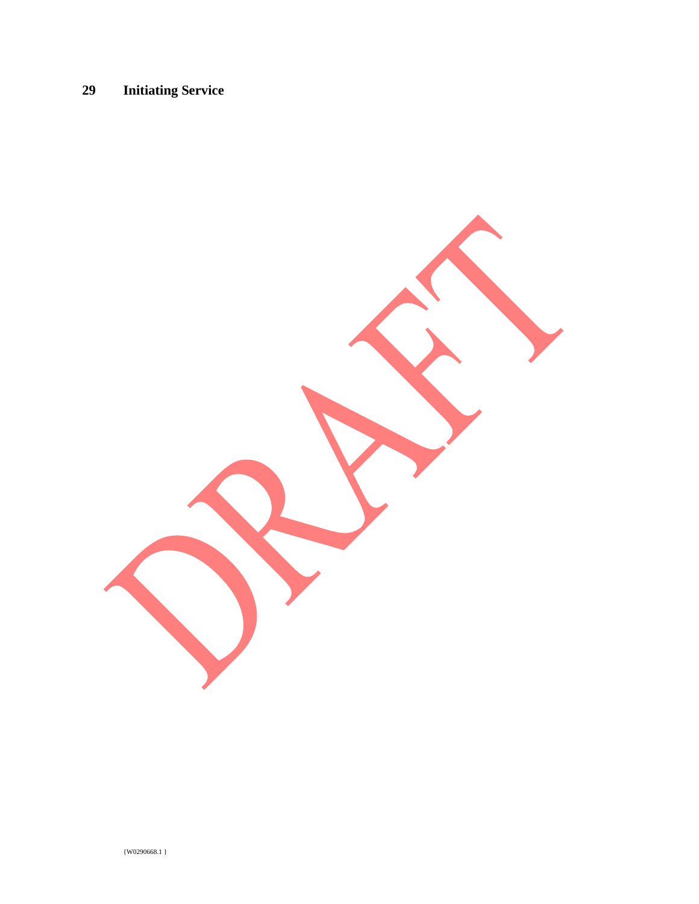# **29 Initiating Service**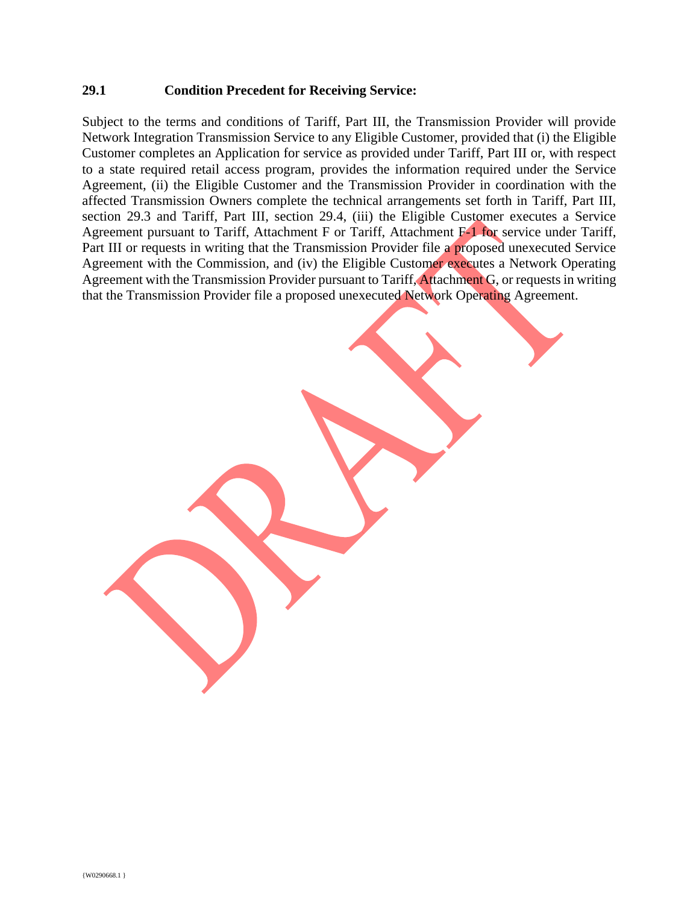#### **29.1 Condition Precedent for Receiving Service:**

Subject to the terms and conditions of Tariff, Part III, the Transmission Provider will provide Network Integration Transmission Service to any Eligible Customer, provided that (i) the Eligible Customer completes an Application for service as provided under Tariff, Part III or, with respect to a state required retail access program, provides the information required under the Service Agreement, (ii) the Eligible Customer and the Transmission Provider in coordination with the affected Transmission Owners complete the technical arrangements set forth in Tariff, Part III, section 29.3 and Tariff, Part III, section 29.4, (iii) the Eligible Customer executes a Service Agreement pursuant to Tariff, Attachment F or Tariff, Attachment F-1 for service under Tariff, Part III or requests in writing that the Transmission Provider file a proposed unexecuted Service Agreement with the Commission, and (iv) the Eligible Customer executes a Network Operating Agreement with the Transmission Provider pursuant to Tariff, Attachment G, or requests in writing that the Transmission Provider file a proposed unexecuted Network Operating Agreement.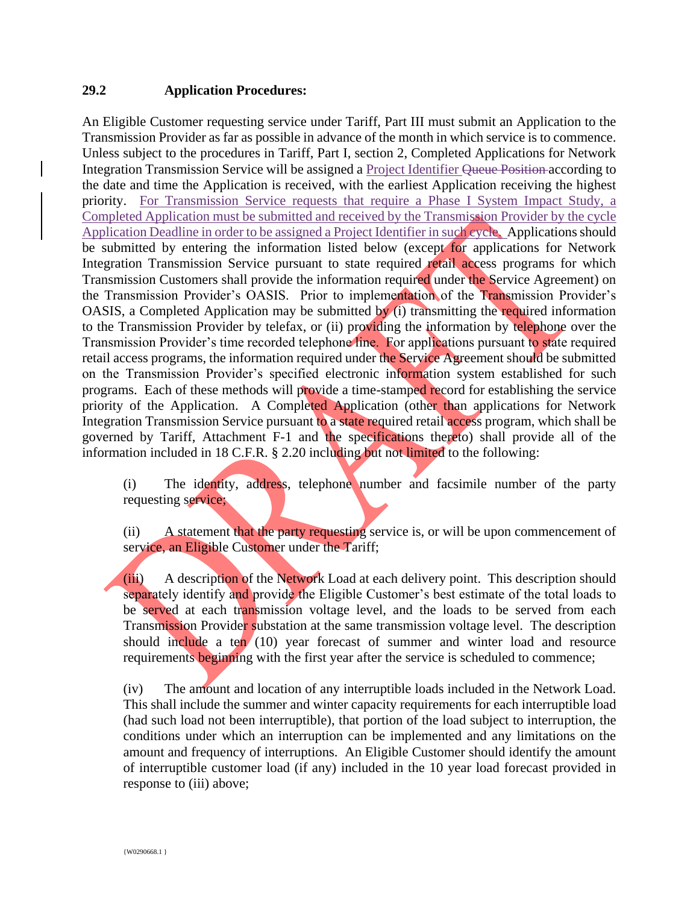### **29.2 Application Procedures:**

An Eligible Customer requesting service under Tariff, Part III must submit an Application to the Transmission Provider as far as possible in advance of the month in which service is to commence. Unless subject to the procedures in Tariff, Part I, section 2, Completed Applications for Network Integration Transmission Service will be assigned a Project Identifier Queue Position according to the date and time the Application is received, with the earliest Application receiving the highest priority. For Transmission Service requests that require a Phase I System Impact Study, a Completed Application must be submitted and received by the Transmission Provider by the cycle Application Deadline in order to be assigned a Project Identifier in such cycle. Applications should be submitted by entering the information listed below (except for applications for Network Integration Transmission Service pursuant to state required retail access programs for which Transmission Customers shall provide the information required under the Service Agreement) on the Transmission Provider's OASIS. Prior to implementation of the Transmission Provider's OASIS, a Completed Application may be submitted by (i) transmitting the required information to the Transmission Provider by telefax, or (ii) providing the information by telephone over the Transmission Provider's time recorded telephone line. For applications pursuant to state required retail access programs, the information required under the Service Agreement should be submitted on the Transmission Provider's specified electronic information system established for such programs. Each of these methods will provide a time-stamped record for establishing the service priority of the Application. A Completed Application (other than applications for Network Integration Transmission Service pursuant to a state required retail access program, which shall be governed by Tariff, Attachment F-1 and the specifications thereto) shall provide all of the information included in 18 C.F.R. § 2.20 including but not limited to the following:

(i) The identity, address, telephone number and facsimile number of the party requesting service;

(ii) A statement that the party requesting service is, or will be upon commencement of service, an Eligible Customer under the Tariff;

(iii) A description of the Network Load at each delivery point. This description should separately identify and provide the Eligible Customer's best estimate of the total loads to be served at each transmission voltage level, and the loads to be served from each Transmission Provider substation at the same transmission voltage level. The description should include a ten  $(10)$  year forecast of summer and winter load and resource requirements beginning with the first year after the service is scheduled to commence;

(iv) The amount and location of any interruptible loads included in the Network Load. This shall include the summer and winter capacity requirements for each interruptible load (had such load not been interruptible), that portion of the load subject to interruption, the conditions under which an interruption can be implemented and any limitations on the amount and frequency of interruptions. An Eligible Customer should identify the amount of interruptible customer load (if any) included in the 10 year load forecast provided in response to (iii) above;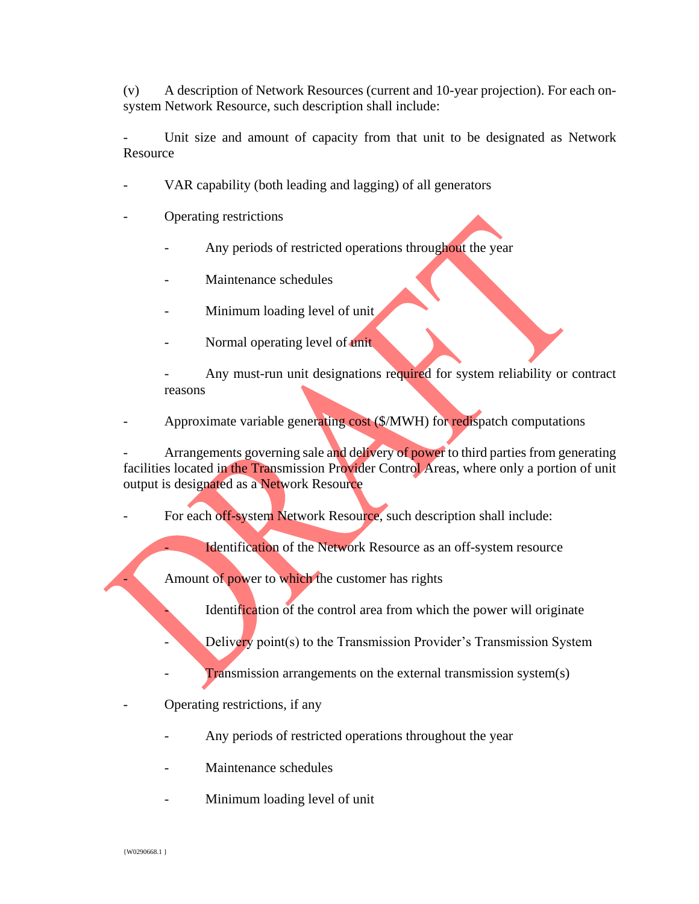(v) A description of Network Resources (current and 10-year projection). For each onsystem Network Resource, such description shall include:

Unit size and amount of capacity from that unit to be designated as Network Resource

- VAR capability (both leading and lagging) of all generators
- Operating restrictions
	- Any periods of restricted operations throughout the year
	- Maintenance schedules
	- Minimum loading level of unit
	- Normal operating level of unit

Any must-run unit designations required for system reliability or contract reasons

- Approximate variable generating cost (\$/MWH) for redispatch computations

Arrangements governing sale and delivery of power to third parties from generating facilities located in the Transmission Provider Control Areas, where only a portion of unit output is designated as a Network Resource

For each off-system Network Resource, such description shall include:

Identification of the Network Resource as an off-system resource

Amount of power to which the customer has rights

Identification of the control area from which the power will originate

Delivery point(s) to the Transmission Provider's Transmission System

- $\Gamma$  ransmission arrangements on the external transmission system(s)
- Operating restrictions, if any
	- Any periods of restricted operations throughout the year
	- Maintenance schedules
	- Minimum loading level of unit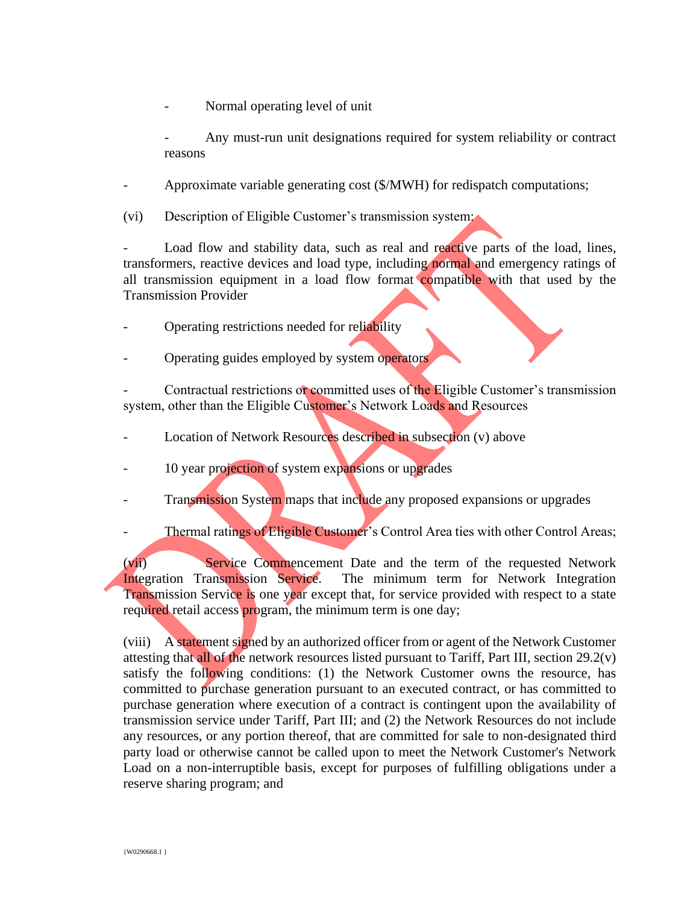Normal operating level of unit

Any must-run unit designations required for system reliability or contract reasons

Approximate variable generating cost (\$/MWH) for redispatch computations;

(vi) Description of Eligible Customer's transmission system:

Load flow and stability data, such as real and reactive parts of the load, lines, transformers, reactive devices and load type, including normal and emergency ratings of all transmission equipment in a load flow format compatible with that used by the Transmission Provider

- Operating restrictions needed for reliability
- Operating guides employed by system operators

Contractual restrictions or committed uses of the Eligible Customer's transmission system, other than the Eligible Customer's Network Loads and Resources

- Location of Network Resources described in subsection (v) above
- 10 year projection of system expansions or upgrades
- Transmission System maps that include any proposed expansions or upgrades
- Thermal ratings of Eligible Customer's Control Area ties with other Control Areas;

(vii) Service Commencement Date and the term of the requested Network Integration Transmission Service. The minimum term for Network Integration Transmission Service is one year except that, for service provided with respect to a state required retail access program, the minimum term is one day;

(viii) A statement signed by an authorized officer from or agent of the Network Customer attesting that all of the network resources listed pursuant to Tariff, Part III, section 29.2(v) satisfy the following conditions: (1) the Network Customer owns the resource, has committed to purchase generation pursuant to an executed contract, or has committed to purchase generation where execution of a contract is contingent upon the availability of transmission service under Tariff, Part III; and (2) the Network Resources do not include any resources, or any portion thereof, that are committed for sale to non-designated third party load or otherwise cannot be called upon to meet the Network Customer's Network Load on a non-interruptible basis, except for purposes of fulfilling obligations under a reserve sharing program; and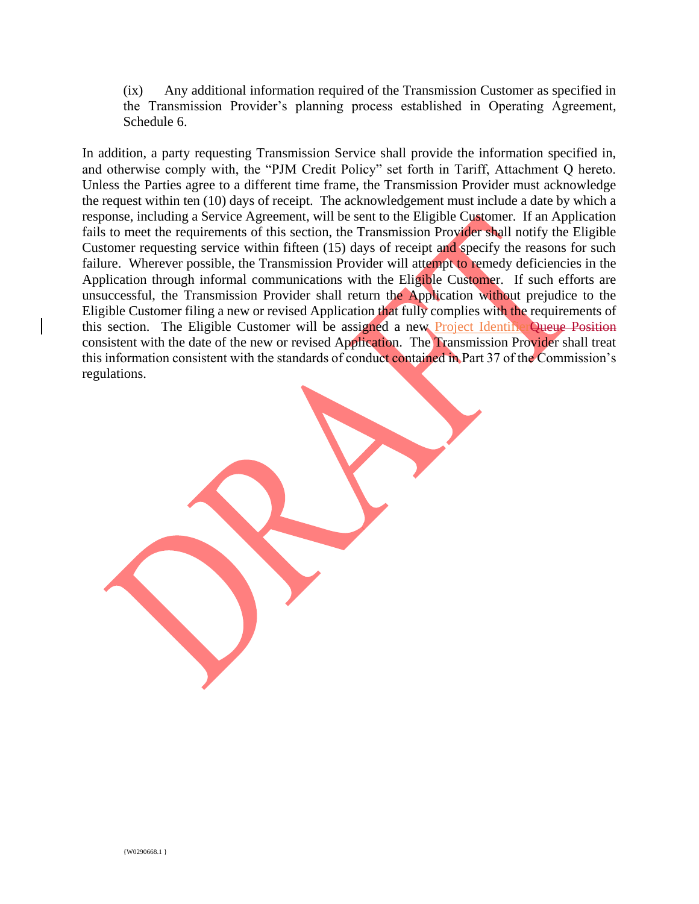(ix) Any additional information required of the Transmission Customer as specified in the Transmission Provider's planning process established in Operating Agreement, Schedule 6.

In addition, a party requesting Transmission Service shall provide the information specified in, and otherwise comply with, the "PJM Credit Policy" set forth in Tariff, Attachment Q hereto. Unless the Parties agree to a different time frame, the Transmission Provider must acknowledge the request within ten (10) days of receipt. The acknowledgement must include a date by which a response, including a Service Agreement, will be sent to the Eligible Customer. If an Application fails to meet the requirements of this section, the Transmission Provider shall notify the Eligible Customer requesting service within fifteen (15) days of receipt and specify the reasons for such failure. Wherever possible, the Transmission Provider will attempt to remedy deficiencies in the Application through informal communications with the Eligible Customer. If such efforts are unsuccessful, the Transmission Provider shall return the Application without prejudice to the Eligible Customer filing a new or revised Application that fully complies with the requirements of this section. The Eligible Customer will be assigned a new Project IdentifierQueue Position consistent with the date of the new or revised Application. The Transmission Provider shall treat this information consistent with the standards of conduct contained in Part 37 of the Commission's regulations.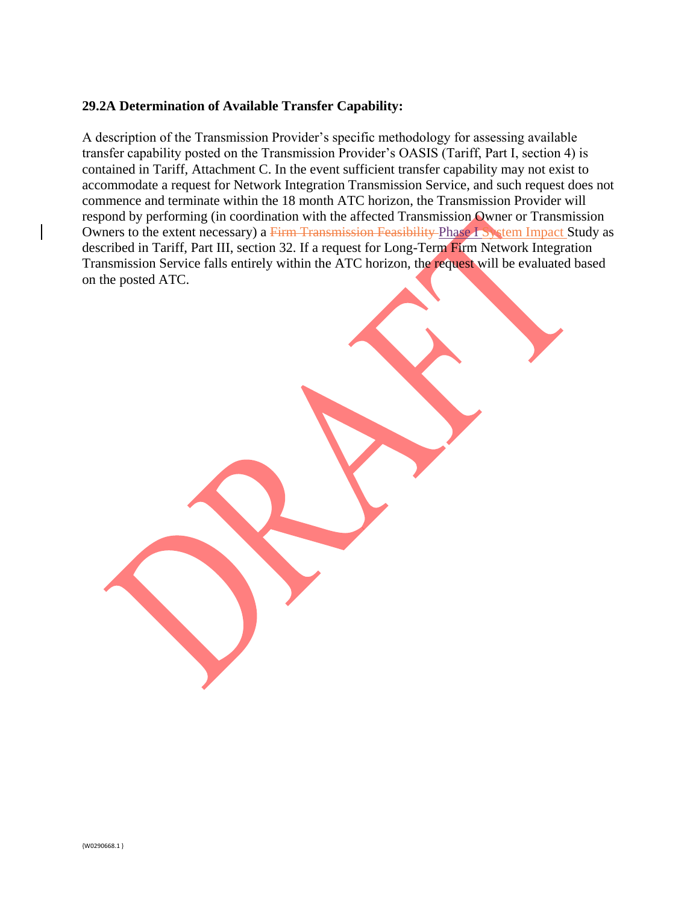#### **29.2A Determination of Available Transfer Capability:**

A description of the Transmission Provider's specific methodology for assessing available transfer capability posted on the Transmission Provider's OASIS (Tariff, Part I, section 4) is contained in Tariff, Attachment C. In the event sufficient transfer capability may not exist to accommodate a request for Network Integration Transmission Service, and such request does not commence and terminate within the 18 month ATC horizon, the Transmission Provider will respond by performing (in coordination with the affected Transmission Owner or Transmission Owners to the extent necessary) a Firm Transmission Feasibility Phase I System Impact Study as described in Tariff, Part III, section 32. If a request for Long-Term Firm Network Integration Transmission Service falls entirely within the ATC horizon, the request will be evaluated based on the posted ATC.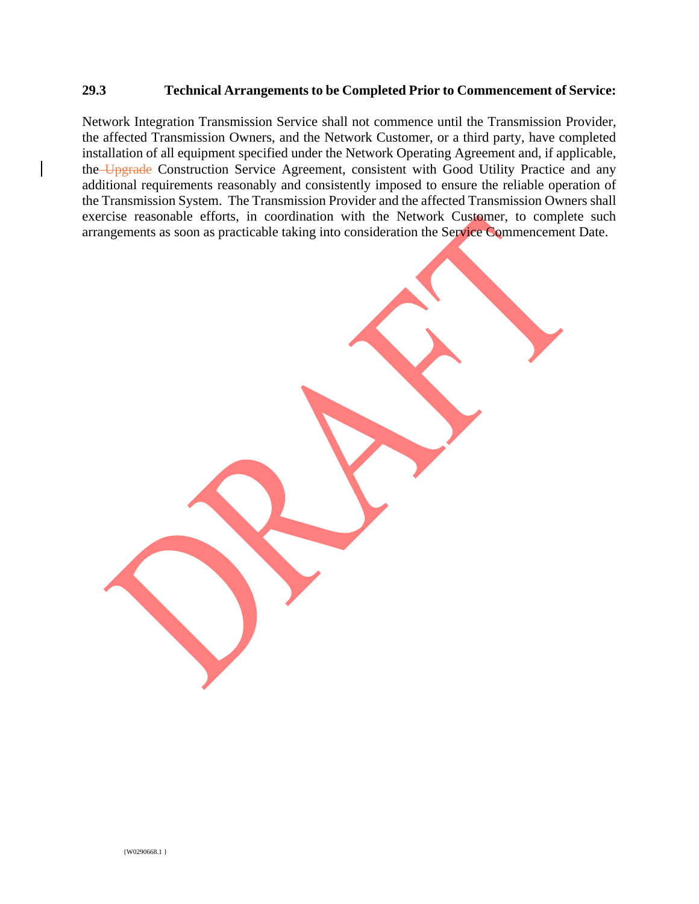#### **29.3 Technical Arrangements to be Completed Prior to Commencement of Service:**

Network Integration Transmission Service shall not commence until the Transmission Provider, the affected Transmission Owners, and the Network Customer, or a third party, have completed installation of all equipment specified under the Network Operating Agreement and, if applicable, the Upgrade Construction Service Agreement, consistent with Good Utility Practice and any additional requirements reasonably and consistently imposed to ensure the reliable operation of the Transmission System. The Transmission Provider and the affected Transmission Owners shall exercise reasonable efforts, in coordination with the Network Customer, to complete such arrangements as soon as practicable taking into consideration the Service Commencement Date.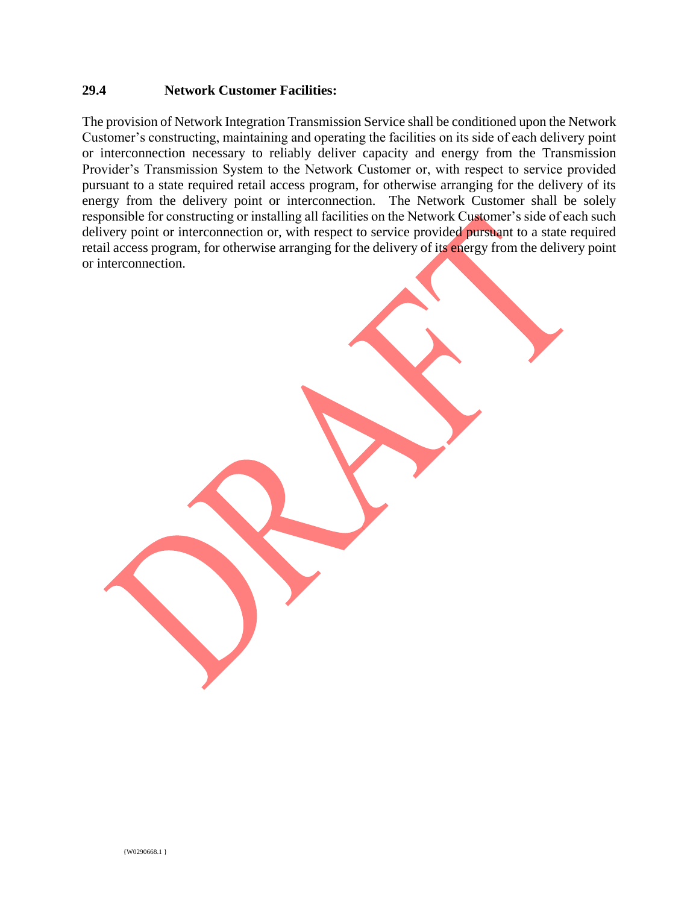#### **29.4 Network Customer Facilities:**

The provision of Network Integration Transmission Service shall be conditioned upon the Network Customer's constructing, maintaining and operating the facilities on its side of each delivery point or interconnection necessary to reliably deliver capacity and energy from the Transmission Provider's Transmission System to the Network Customer or, with respect to service provided pursuant to a state required retail access program, for otherwise arranging for the delivery of its energy from the delivery point or interconnection. The Network Customer shall be solely responsible for constructing or installing all facilities on the Network Customer's side of each such delivery point or interconnection or, with respect to service provided pursuant to a state required retail access program, for otherwise arranging for the delivery of its energy from the delivery point or interconnection.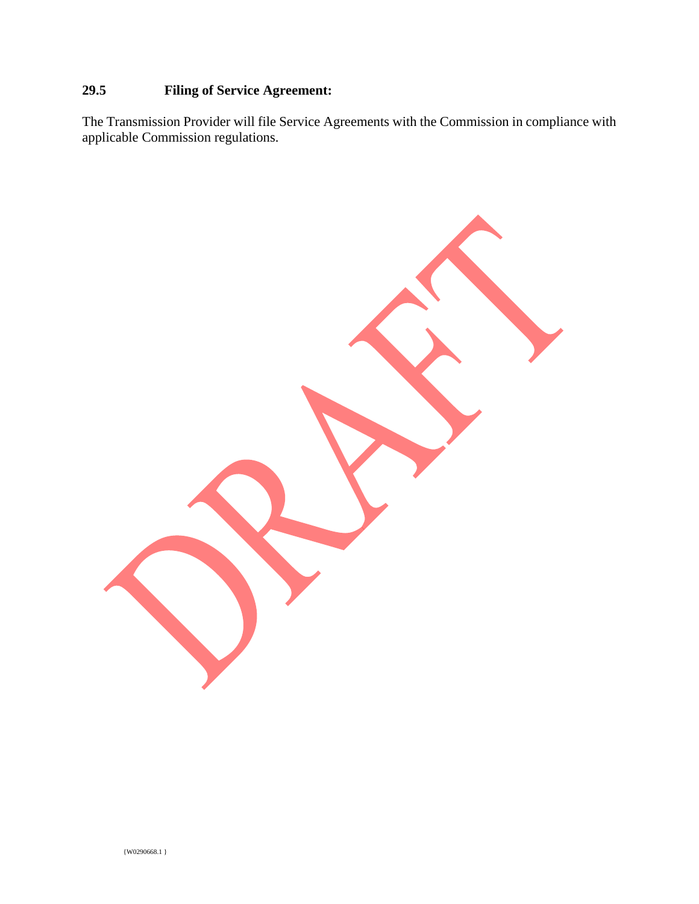## **29.5 Filing of Service Agreement:**

The Transmission Provider will file Service Agreements with the Commission in compliance with applicable Commission regulations.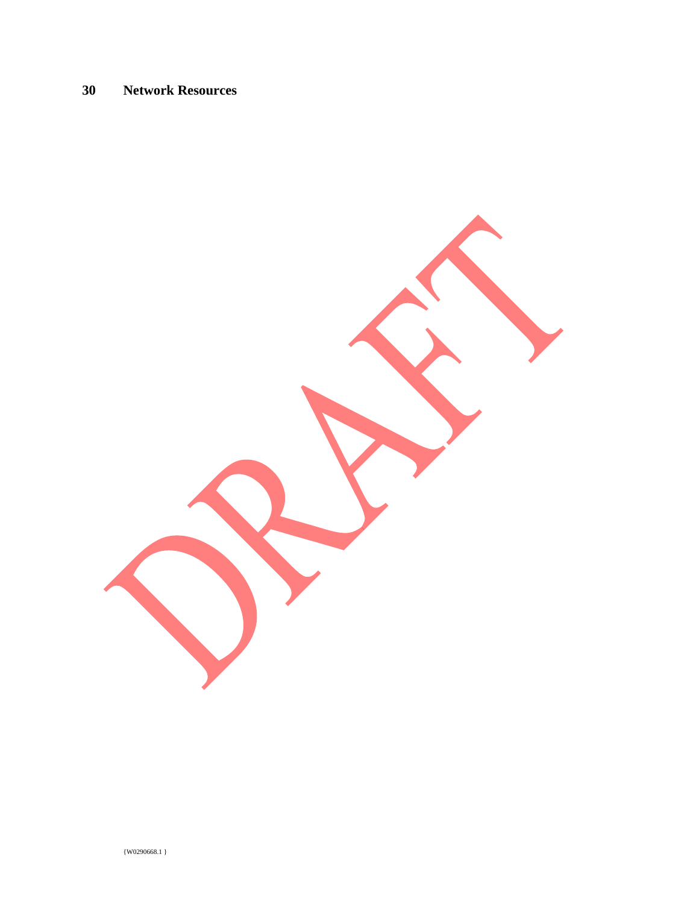## **30 Network Resources**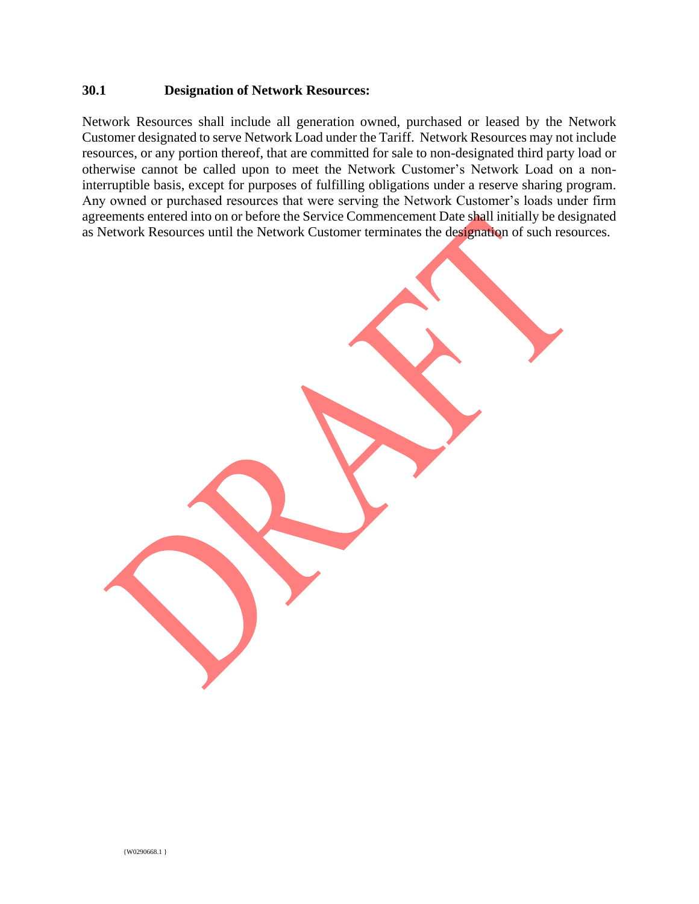#### **30.1 Designation of Network Resources:**

Network Resources shall include all generation owned, purchased or leased by the Network Customer designated to serve Network Load under the Tariff. Network Resources may not include resources, or any portion thereof, that are committed for sale to non-designated third party load or otherwise cannot be called upon to meet the Network Customer's Network Load on a noninterruptible basis, except for purposes of fulfilling obligations under a reserve sharing program. Any owned or purchased resources that were serving the Network Customer's loads under firm agreements entered into on or before the Service Commencement Date shall initially be designated as Network Resources until the Network Customer terminates the designation of such resources.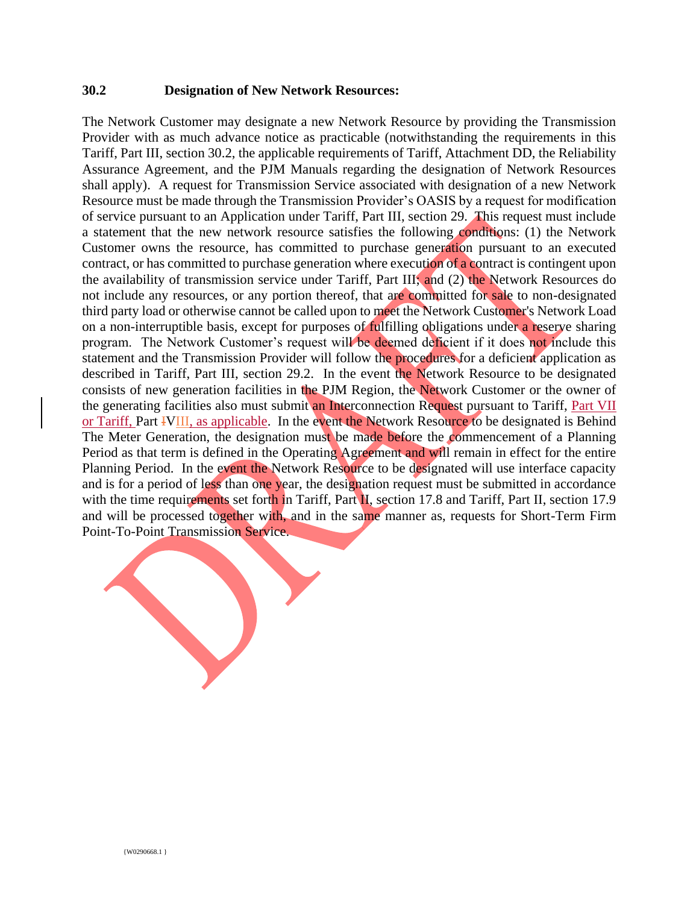#### **30.2 Designation of New Network Resources:**

The Network Customer may designate a new Network Resource by providing the Transmission Provider with as much advance notice as practicable (notwithstanding the requirements in this Tariff, Part III, section 30.2, the applicable requirements of Tariff, Attachment DD, the Reliability Assurance Agreement, and the PJM Manuals regarding the designation of Network Resources shall apply). A request for Transmission Service associated with designation of a new Network Resource must be made through the Transmission Provider's OASIS by a request for modification of service pursuant to an Application under Tariff, Part III, section 29. This request must include a statement that the new network resource satisfies the following conditions: (1) the Network Customer owns the resource, has committed to purchase generation pursuant to an executed contract, or has committed to purchase generation where execution of a contract is contingent upon the availability of transmission service under Tariff, Part III; and (2) the Network Resources do not include any resources, or any portion thereof, that are committed for sale to non-designated third party load or otherwise cannot be called upon to meet the Network Customer's Network Load on a non-interruptible basis, except for purposes of fulfilling obligations under a reserve sharing program. The Network Customer's request will be deemed deficient if it does not include this statement and the Transmission Provider will follow the procedures for a deficient application as described in Tariff, Part III, section 29.2. In the event the Network Resource to be designated consists of new generation facilities in the PJM Region, the Network Customer or the owner of the generating facilities also must submit an Interconnection Request pursuant to Tariff, Part VII or Tariff, Part IVIII, as applicable. In the event the Network Resource to be designated is Behind The Meter Generation, the designation must be made before the commencement of a Planning Period as that term is defined in the Operating Agreement and will remain in effect for the entire Planning Period. In the event the Network Resource to be designated will use interface capacity and is for a period of less than one year, the designation request must be submitted in accordance with the time requirements set forth in Tariff, Part II, section 17.8 and Tariff, Part II, section 17.9 and will be processed together with, and in the same manner as, requests for Short-Term Firm Point-To-Point Transmission Service.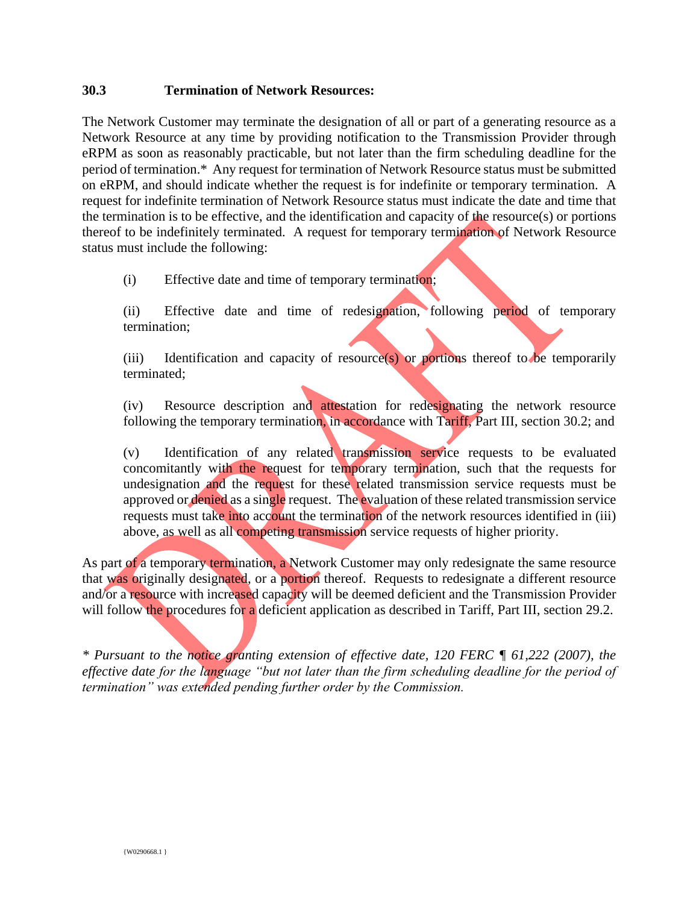### **30.3 Termination of Network Resources:**

The Network Customer may terminate the designation of all or part of a generating resource as a Network Resource at any time by providing notification to the Transmission Provider through eRPM as soon as reasonably practicable, but not later than the firm scheduling deadline for the period of termination.\* Any request for termination of Network Resource status must be submitted on eRPM, and should indicate whether the request is for indefinite or temporary termination. A request for indefinite termination of Network Resource status must indicate the date and time that the termination is to be effective, and the identification and capacity of the resource(s) or portions thereof to be indefinitely terminated. A request for temporary termination of Network Resource status must include the following:

(i) Effective date and time of temporary termination;

(ii) Effective date and time of redesignation, following period of temporary termination;

(iii) Identification and capacity of resource(s) or portions thereof to be temporarily terminated;

(iv) Resource description and attestation for redesignating the network resource following the temporary termination, in accordance with Tariff, Part III, section 30.2; and

(v) Identification of any related transmission service requests to be evaluated concomitantly with the request for temporary termination, such that the requests for undesignation and the request for these related transmission service requests must be approved or denied as a single request. The evaluation of these related transmission service requests must take into account the termination of the network resources identified in (iii) above, as well as all competing transmission service requests of higher priority.

As part of a temporary termination, a Network Customer may only redesignate the same resource that was originally designated, or a portion thereof. Requests to redesignate a different resource and/or a resource with increased capacity will be deemed deficient and the Transmission Provider will follow the procedures for a deficient application as described in Tariff, Part III, section 29.2.

*\* Pursuant to the notice granting extension of effective date, 120 FERC ¶ 61,222 (2007), the effective date for the language "but not later than the firm scheduling deadline for the period of termination" was extended pending further order by the Commission.*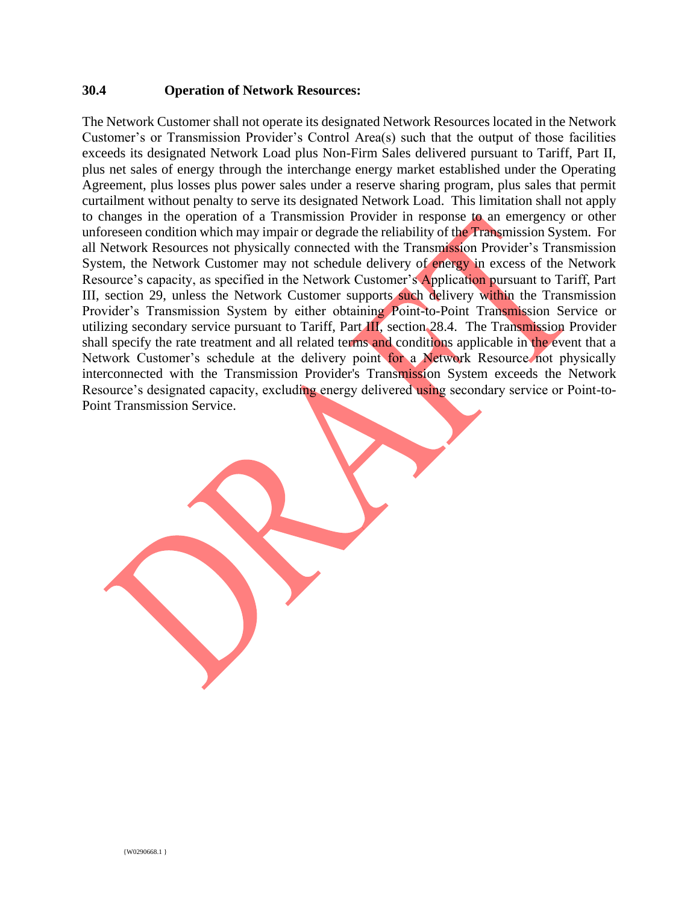### **30.4 Operation of Network Resources:**

The Network Customer shall not operate its designated Network Resources located in the Network Customer's or Transmission Provider's Control Area(s) such that the output of those facilities exceeds its designated Network Load plus Non-Firm Sales delivered pursuant to Tariff, Part II, plus net sales of energy through the interchange energy market established under the Operating Agreement, plus losses plus power sales under a reserve sharing program, plus sales that permit curtailment without penalty to serve its designated Network Load. This limitation shall not apply to changes in the operation of a Transmission Provider in response to an emergency or other unforeseen condition which may impair or degrade the reliability of the Transmission System. For all Network Resources not physically connected with the Transmission Provider's Transmission System, the Network Customer may not schedule delivery of energy in excess of the Network Resource's capacity, as specified in the Network Customer's Application pursuant to Tariff, Part III, section 29, unless the Network Customer supports such delivery within the Transmission Provider's Transmission System by either obtaining Point-to-Point Transmission Service or utilizing secondary service pursuant to Tariff, Part III, section 28.4. The Transmission Provider shall specify the rate treatment and all related terms and conditions applicable in the event that a Network Customer's schedule at the delivery point for a Network Resource not physically interconnected with the Transmission Provider's Transmission System exceeds the Network Resource's designated capacity, excluding energy delivered using secondary service or Point-to-Point Transmission Service.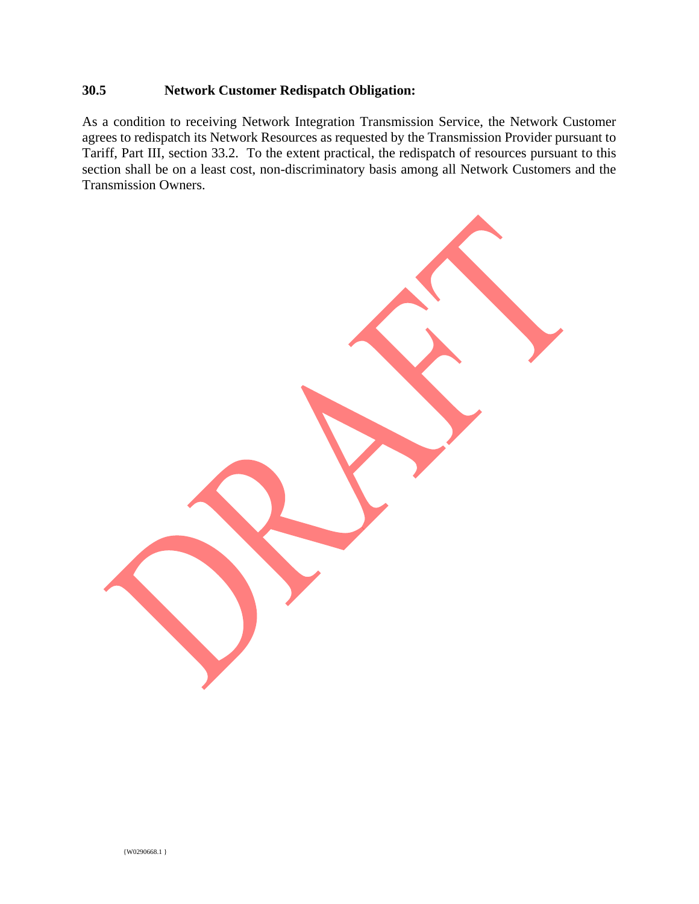## **30.5 Network Customer Redispatch Obligation:**

As a condition to receiving Network Integration Transmission Service, the Network Customer agrees to redispatch its Network Resources as requested by the Transmission Provider pursuant to Tariff, Part III, section 33.2. To the extent practical, the redispatch of resources pursuant to this section shall be on a least cost, non-discriminatory basis among all Network Customers and the Transmission Owners.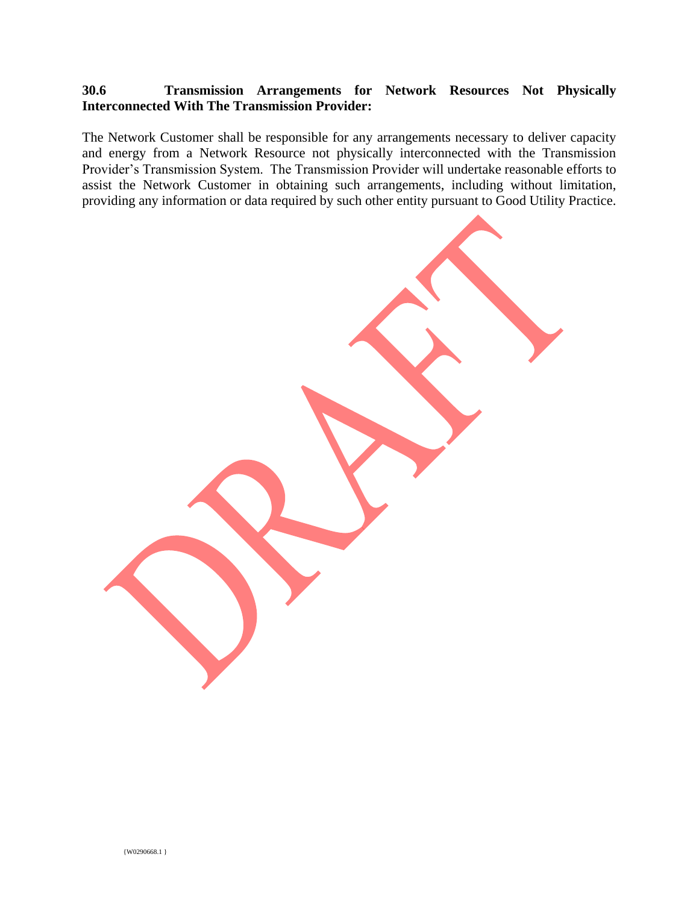## **30.6 Transmission Arrangements for Network Resources Not Physically Interconnected With The Transmission Provider:**

The Network Customer shall be responsible for any arrangements necessary to deliver capacity and energy from a Network Resource not physically interconnected with the Transmission Provider's Transmission System. The Transmission Provider will undertake reasonable efforts to assist the Network Customer in obtaining such arrangements, including without limitation, providing any information or data required by such other entity pursuant to Good Utility Practice.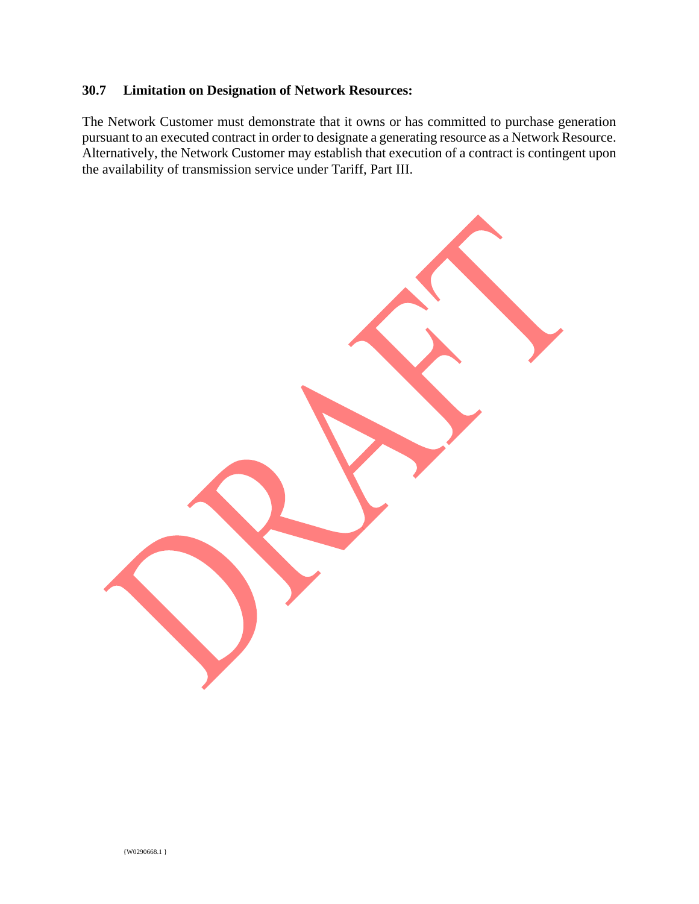## **30.7 Limitation on Designation of Network Resources:**

The Network Customer must demonstrate that it owns or has committed to purchase generation pursuant to an executed contract in order to designate a generating resource as a Network Resource. Alternatively, the Network Customer may establish that execution of a contract is contingent upon the availability of transmission service under Tariff, Part III.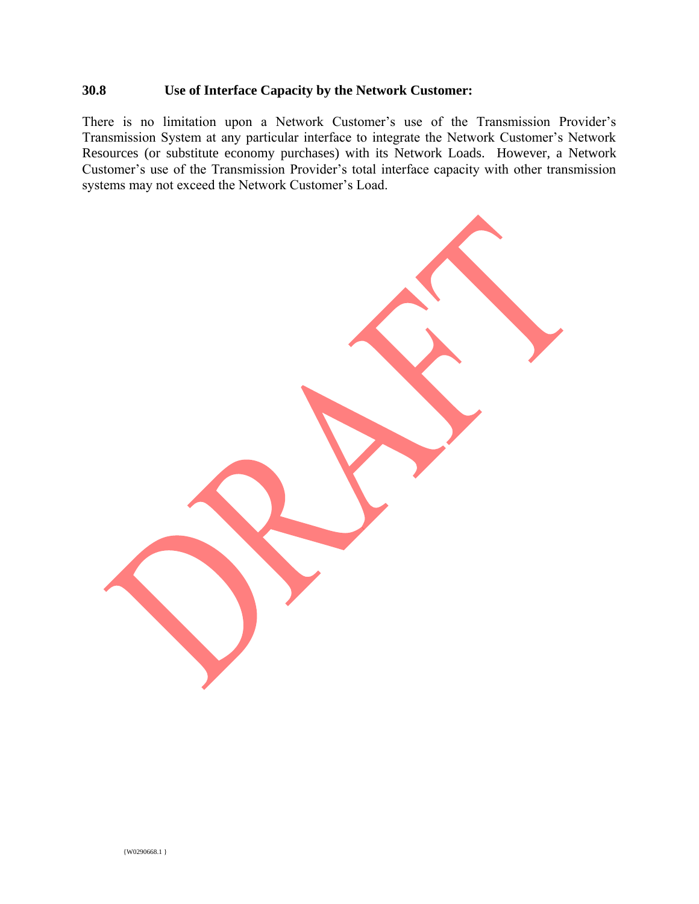## **30.8 Use of Interface Capacity by the Network Customer:**

There is no limitation upon a Network Customer's use of the Transmission Provider's Transmission System at any particular interface to integrate the Network Customer's Network Resources (or substitute economy purchases) with its Network Loads. However, a Network Customer's use of the Transmission Provider's total interface capacity with other transmission systems may not exceed the Network Customer's Load.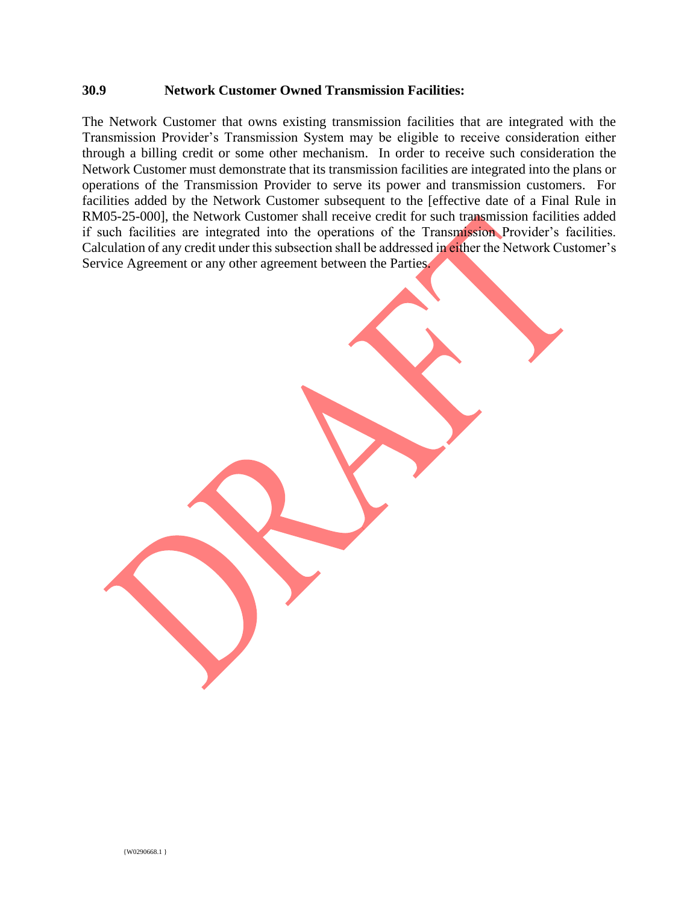#### **30.9 Network Customer Owned Transmission Facilities:**

The Network Customer that owns existing transmission facilities that are integrated with the Transmission Provider's Transmission System may be eligible to receive consideration either through a billing credit or some other mechanism. In order to receive such consideration the Network Customer must demonstrate that its transmission facilities are integrated into the plans or operations of the Transmission Provider to serve its power and transmission customers. For facilities added by the Network Customer subsequent to the [effective date of a Final Rule in RM05-25-000], the Network Customer shall receive credit for such transmission facilities added if such facilities are integrated into the operations of the Transmission Provider's facilities. Calculation of any credit under this subsection shall be addressed in either the Network Customer's Service Agreement or any other agreement between the Parties.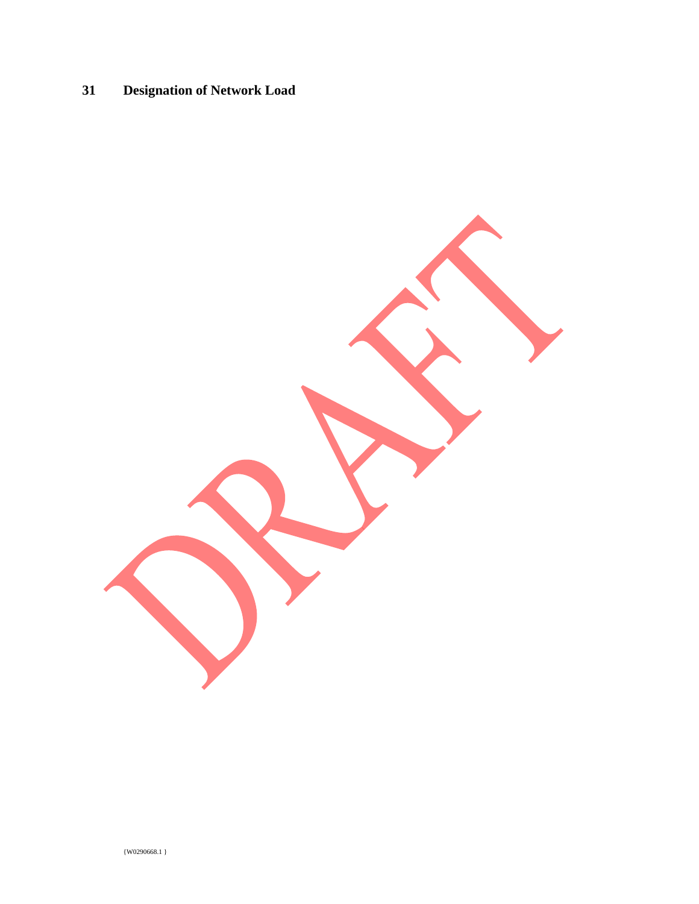# **31 Designation of Network Load**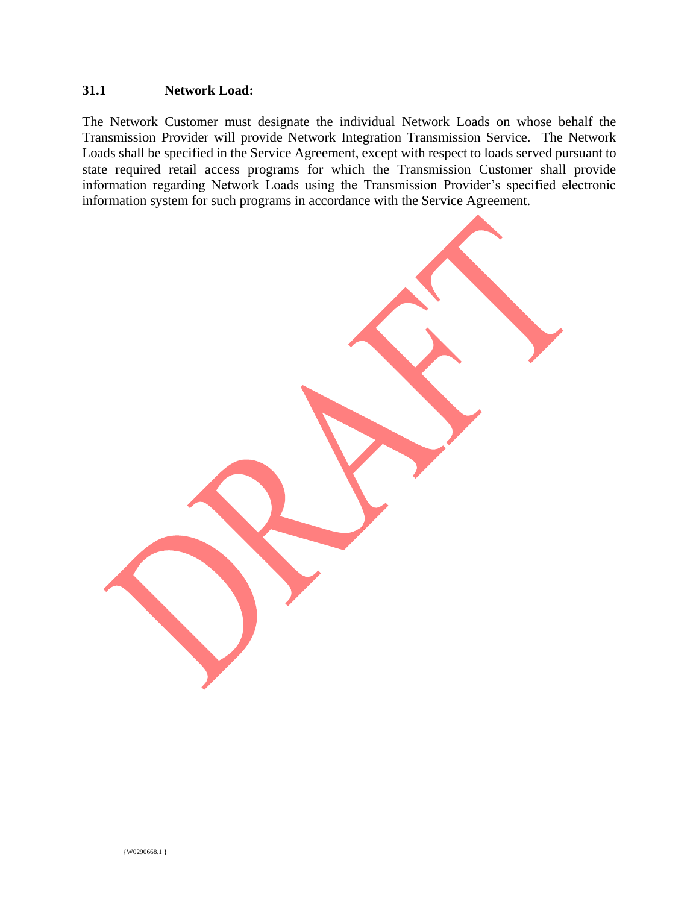#### **31.1 Network Load:**

The Network Customer must designate the individual Network Loads on whose behalf the Transmission Provider will provide Network Integration Transmission Service. The Network Loads shall be specified in the Service Agreement, except with respect to loads served pursuant to state required retail access programs for which the Transmission Customer shall provide information regarding Network Loads using the Transmission Provider's specified electronic information system for such programs in accordance with the Service Agreement.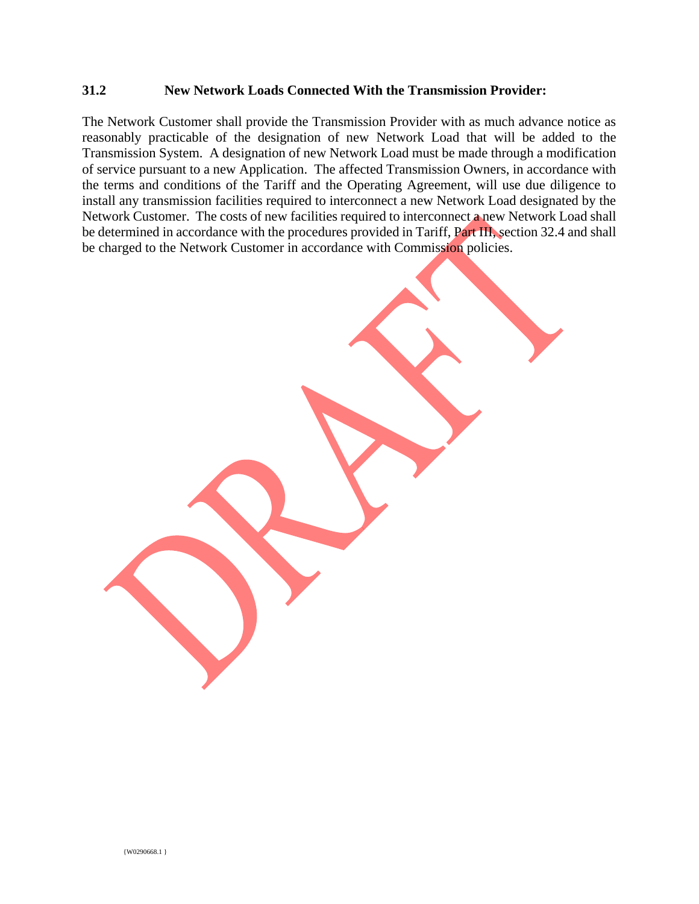#### **31.2 New Network Loads Connected With the Transmission Provider:**

The Network Customer shall provide the Transmission Provider with as much advance notice as reasonably practicable of the designation of new Network Load that will be added to the Transmission System. A designation of new Network Load must be made through a modification of service pursuant to a new Application. The affected Transmission Owners, in accordance with the terms and conditions of the Tariff and the Operating Agreement, will use due diligence to install any transmission facilities required to interconnect a new Network Load designated by the Network Customer. The costs of new facilities required to interconnect a new Network Load shall be determined in accordance with the procedures provided in Tariff, Part III, section 32.4 and shall be charged to the Network Customer in accordance with Commission policies.

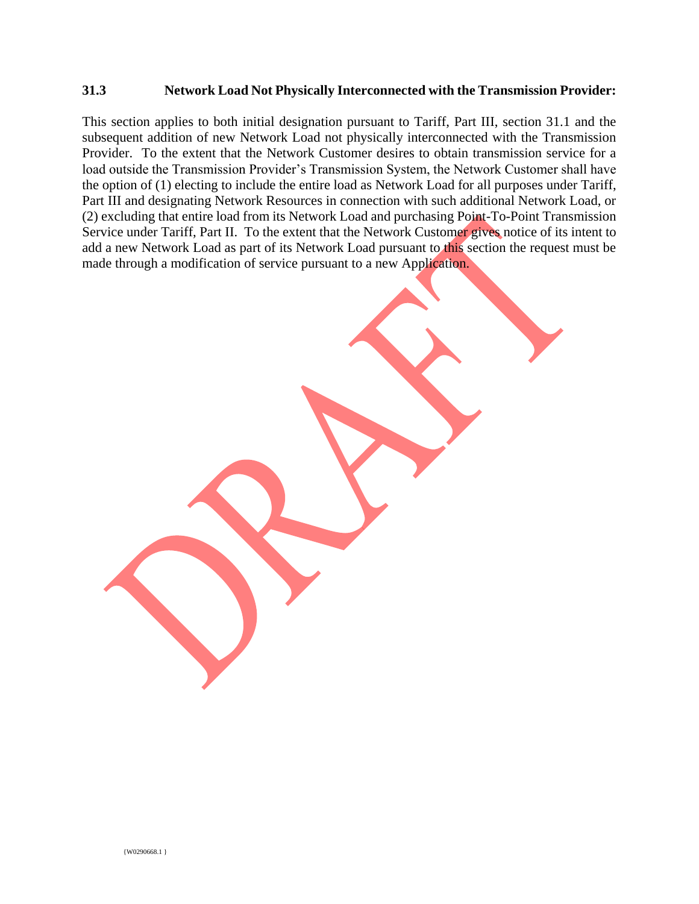#### **31.3 Network Load Not Physically Interconnected with the Transmission Provider:**

This section applies to both initial designation pursuant to Tariff, Part III, section 31.1 and the subsequent addition of new Network Load not physically interconnected with the Transmission Provider. To the extent that the Network Customer desires to obtain transmission service for a load outside the Transmission Provider's Transmission System, the Network Customer shall have the option of (1) electing to include the entire load as Network Load for all purposes under Tariff, Part III and designating Network Resources in connection with such additional Network Load, or (2) excluding that entire load from its Network Load and purchasing Point-To-Point Transmission Service under Tariff, Part II. To the extent that the Network Customer gives notice of its intent to add a new Network Load as part of its Network Load pursuant to this section the request must be made through a modification of service pursuant to a new Application.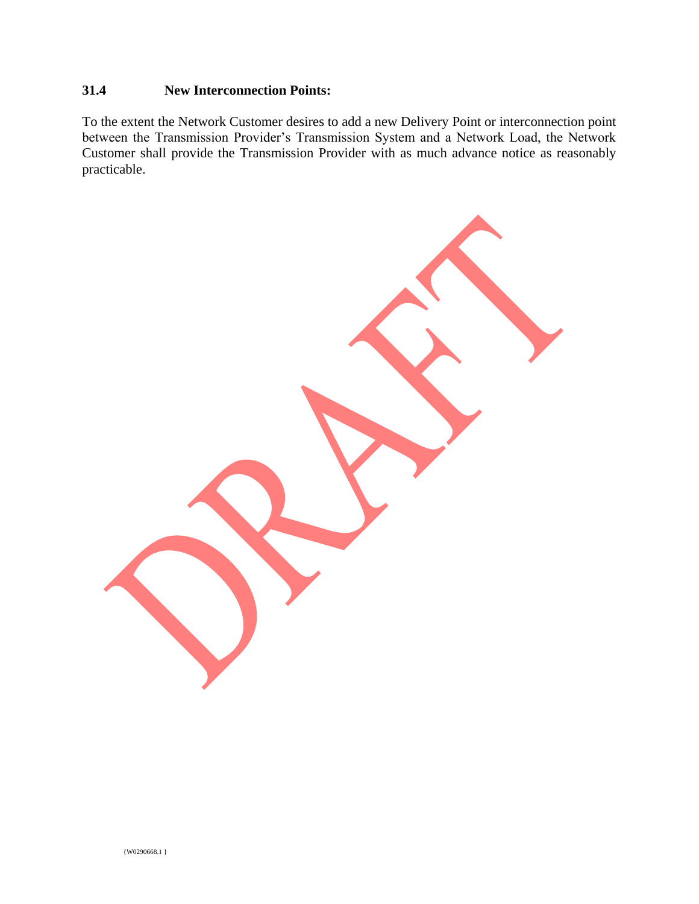## **31.4 New Interconnection Points:**

To the extent the Network Customer desires to add a new Delivery Point or interconnection point between the Transmission Provider's Transmission System and a Network Load, the Network Customer shall provide the Transmission Provider with as much advance notice as reasonably practicable.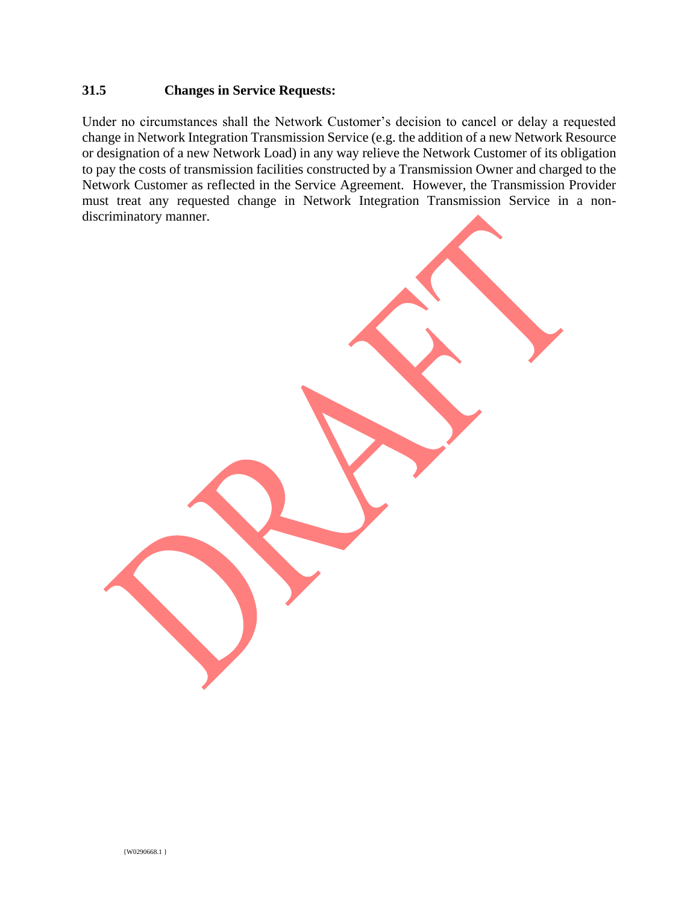## **31.5 Changes in Service Requests:**

Under no circumstances shall the Network Customer's decision to cancel or delay a requested change in Network Integration Transmission Service (e.g. the addition of a new Network Resource or designation of a new Network Load) in any way relieve the Network Customer of its obligation to pay the costs of transmission facilities constructed by a Transmission Owner and charged to the Network Customer as reflected in the Service Agreement. However, the Transmission Provider must treat any requested change in Network Integration Transmission Service in a nondiscriminatory manner.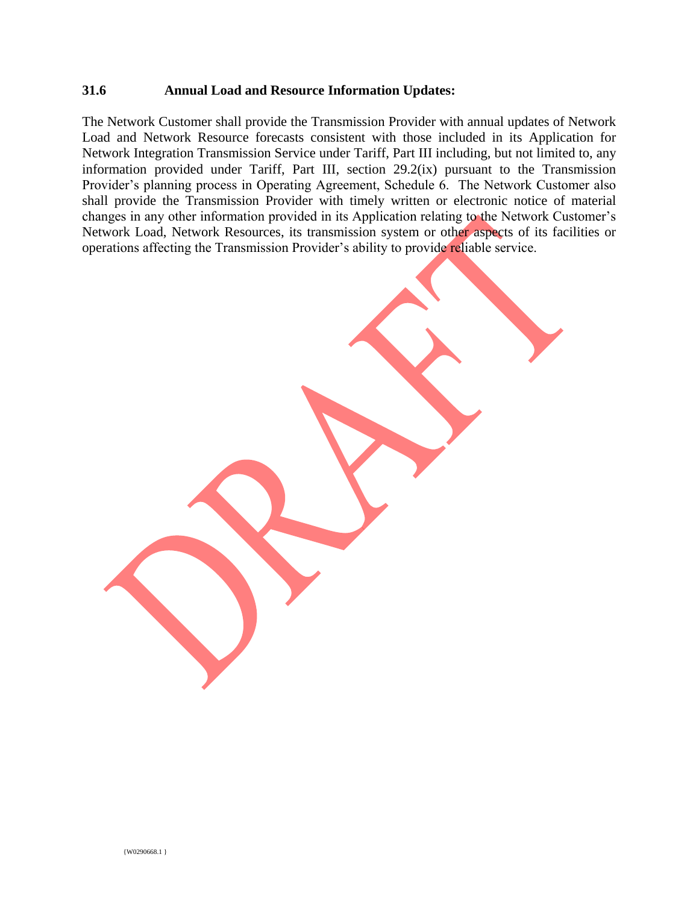#### **31.6 Annual Load and Resource Information Updates:**

The Network Customer shall provide the Transmission Provider with annual updates of Network Load and Network Resource forecasts consistent with those included in its Application for Network Integration Transmission Service under Tariff, Part III including, but not limited to, any information provided under Tariff, Part III, section 29.2(ix) pursuant to the Transmission Provider's planning process in Operating Agreement, Schedule 6. The Network Customer also shall provide the Transmission Provider with timely written or electronic notice of material changes in any other information provided in its Application relating to the Network Customer's Network Load, Network Resources, its transmission system or other aspects of its facilities or operations affecting the Transmission Provider's ability to provide reliable service.

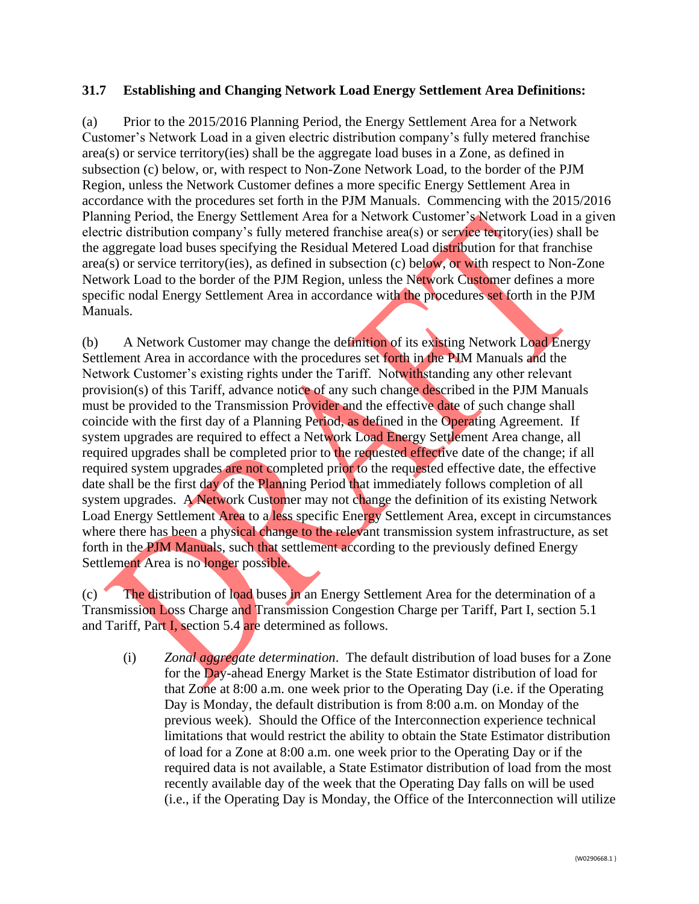### **31.7 Establishing and Changing Network Load Energy Settlement Area Definitions:**

(a) Prior to the 2015/2016 Planning Period, the Energy Settlement Area for a Network Customer's Network Load in a given electric distribution company's fully metered franchise area(s) or service territory(ies) shall be the aggregate load buses in a Zone, as defined in subsection (c) below, or, with respect to Non-Zone Network Load, to the border of the PJM Region, unless the Network Customer defines a more specific Energy Settlement Area in accordance with the procedures set forth in the PJM Manuals. Commencing with the 2015/2016 Planning Period, the Energy Settlement Area for a Network Customer's Network Load in a given electric distribution company's fully metered franchise area(s) or service territory(ies) shall be the aggregate load buses specifying the Residual Metered Load distribution for that franchise area(s) or service territory(ies), as defined in subsection (c) below, or with respect to Non-Zone Network Load to the border of the PJM Region, unless the Network Customer defines a more specific nodal Energy Settlement Area in accordance with the procedures set forth in the PJM Manuals.

(b) A Network Customer may change the definition of its existing Network Load Energy Settlement Area in accordance with the procedures set forth in the PJM Manuals and the Network Customer's existing rights under the Tariff. Notwithstanding any other relevant provision(s) of this Tariff, advance notice of any such change described in the PJM Manuals must be provided to the Transmission Provider and the effective date of such change shall coincide with the first day of a Planning Period, as defined in the Operating Agreement. If system upgrades are required to effect a Network Load Energy Settlement Area change, all required upgrades shall be completed prior to the requested effective date of the change; if all required system upgrades are not completed prior to the requested effective date, the effective date shall be the first day of the Planning Period that immediately follows completion of all system upgrades. A Network Customer may not change the definition of its existing Network Load Energy Settlement Area to a less specific Energy Settlement Area, except in circumstances where there has been a physical change to the relevant transmission system infrastructure, as set forth in the PJM Manuals, such that settlement according to the previously defined Energy Settlement Area is no longer possible.

(c) The distribution of load buses in an Energy Settlement Area for the determination of a Transmission Loss Charge and Transmission Congestion Charge per Tariff, Part I, section 5.1 and Tariff, Part I, section 5.4 are determined as follows.

(i) *Zonal aggregate determination*. The default distribution of load buses for a Zone for the Day-ahead Energy Market is the State Estimator distribution of load for that Zone at 8:00 a.m. one week prior to the Operating Day (i.e. if the Operating Day is Monday, the default distribution is from 8:00 a.m. on Monday of the previous week). Should the Office of the Interconnection experience technical limitations that would restrict the ability to obtain the State Estimator distribution of load for a Zone at 8:00 a.m. one week prior to the Operating Day or if the required data is not available, a State Estimator distribution of load from the most recently available day of the week that the Operating Day falls on will be used (i.e., if the Operating Day is Monday, the Office of the Interconnection will utilize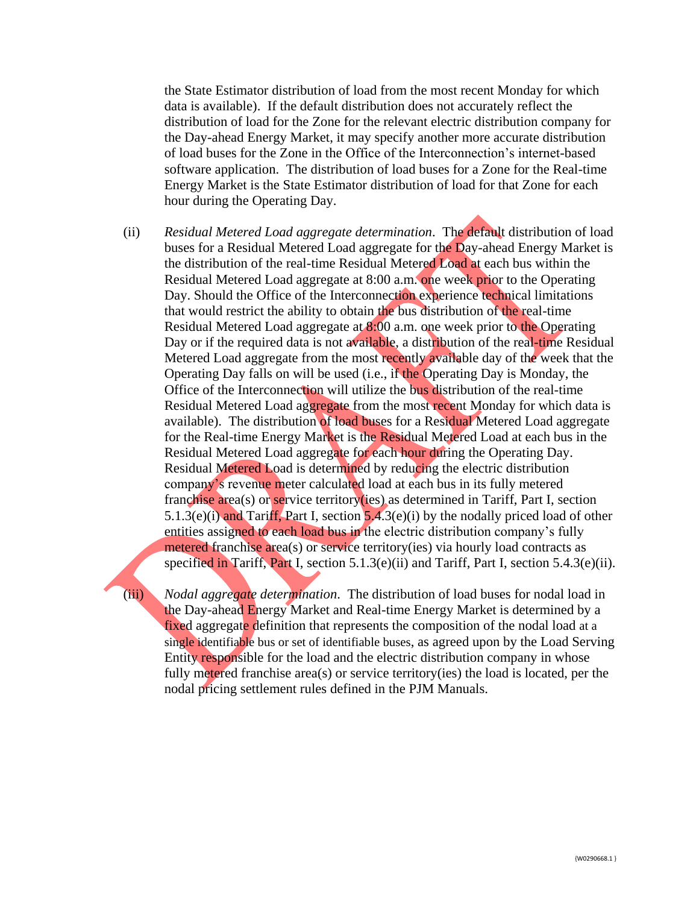the State Estimator distribution of load from the most recent Monday for which data is available). If the default distribution does not accurately reflect the distribution of load for the Zone for the relevant electric distribution company for the Day-ahead Energy Market, it may specify another more accurate distribution of load buses for the Zone in the Office of the Interconnection's internet-based software application. The distribution of load buses for a Zone for the Real-time Energy Market is the State Estimator distribution of load for that Zone for each hour during the Operating Day.

(ii) *Residual Metered Load aggregate determination*. The default distribution of load buses for a Residual Metered Load aggregate for the Day-ahead Energy Market is the distribution of the real-time Residual Metered Load at each bus within the Residual Metered Load aggregate at 8:00 a.m. one week prior to the Operating Day. Should the Office of the Interconnection experience technical limitations that would restrict the ability to obtain the bus distribution of the real-time Residual Metered Load aggregate at 8:00 a.m. one week prior to the Operating Day or if the required data is not available, a distribution of the real-time Residual Metered Load aggregate from the most recently available day of the week that the Operating Day falls on will be used (i.e., if the Operating Day is Monday, the Office of the Interconnection will utilize the bus distribution of the real-time Residual Metered Load aggregate from the most recent Monday for which data is available). The distribution of load buses for a Residual Metered Load aggregate for the Real-time Energy Market is the Residual Metered Load at each bus in the Residual Metered Load aggregate for each hour during the Operating Day. Residual Metered Load is determined by reducing the electric distribution company's revenue meter calculated load at each bus in its fully metered franchise area(s) or service territory(ies) as determined in Tariff, Part I, section 5.1.3(e)(i) and Tariff, Part I, section 5.4.3(e)(i) by the nodally priced load of other entities assigned to each load bus in the electric distribution company's fully metered franchise area(s) or service territory(ies) via hourly load contracts as specified in Tariff, Part I, section 5.1.3(e)(ii) and Tariff, Part I, section 5.4.3(e)(ii).

(iii) *Nodal aggregate determination*. The distribution of load buses for nodal load in the Day-ahead Energy Market and Real-time Energy Market is determined by a fixed aggregate definition that represents the composition of the nodal load at a single identifiable bus or set of identifiable buses, as agreed upon by the Load Serving Entity responsible for the load and the electric distribution company in whose fully metered franchise area(s) or service territory(ies) the load is located, per the nodal pricing settlement rules defined in the PJM Manuals.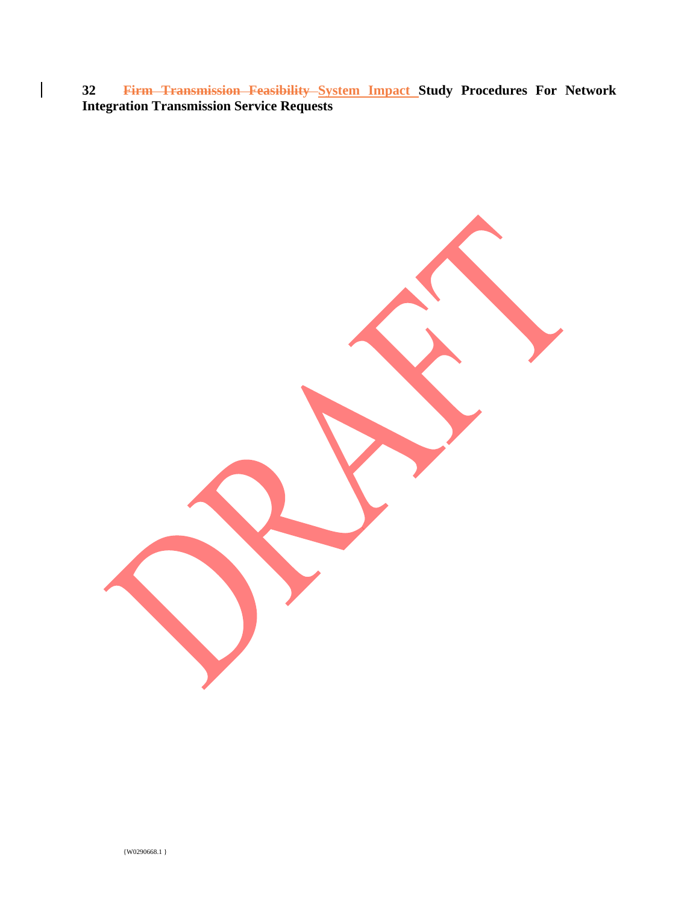**32 Firm Transmission Feasibility System Impact Study Procedures For Network Integration Transmission Service Requests**

 $\overline{\phantom{a}}$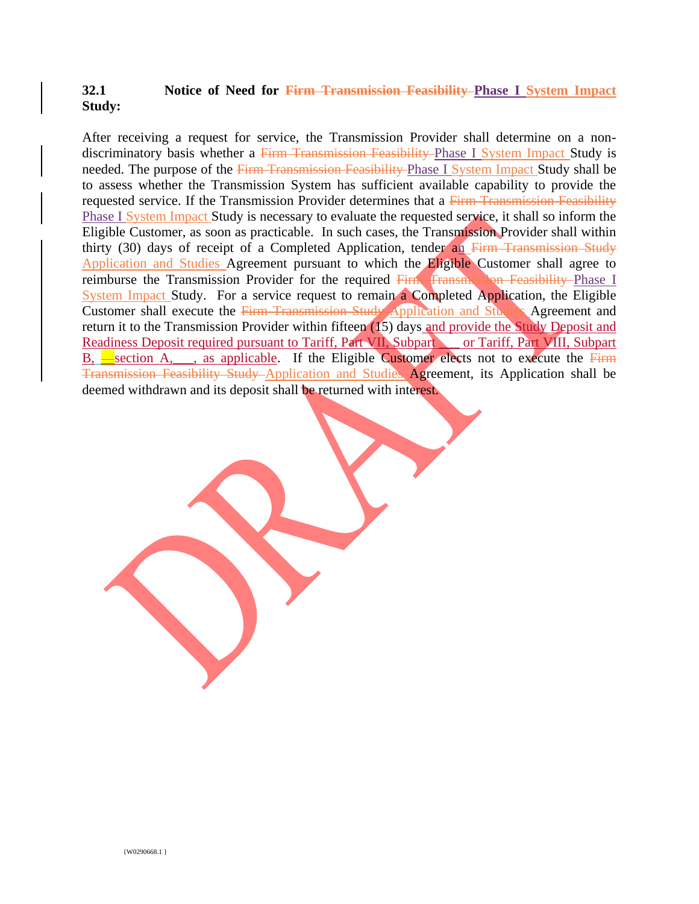## **32.1 Notice of Need for Firm Transmission Feasibility Phase I System Impact Study:**

After receiving a request for service, the Transmission Provider shall determine on a nondiscriminatory basis whether a Firm Transmission Feasibility Phase I System Impact Study is needed. The purpose of the Firm Transmission Feasibility Phase I System Impact Study shall be to assess whether the Transmission System has sufficient available capability to provide the requested service. If the Transmission Provider determines that a Firm Transmission Feasibility Phase I System Impact Study is necessary to evaluate the requested service, it shall so inform the Eligible Customer, as soon as practicable. In such cases, the Transmission Provider shall within thirty (30) days of receipt of a Completed Application, tender an  $F_{\text{I}}$  Firm Transmission Study Application and Studies Agreement pursuant to which the Eligible Customer shall agree to reimburse the Transmission Provider for the required Firm Transmission Feasibility Phase I System Impact Study. For a service request to remain a Completed Application, the Eligible Customer shall execute the Firm Transmission Study Application and Studies Agreement and return it to the Transmission Provider within fifteen (15) days and provide the Study Deposit and Readiness Deposit required pursuant to Tariff, Part VII, Subpart or Tariff, Part VIII, Subpart B,  $\equiv$  section A, s applicable. If the Eligible Customer elects not to execute the Firm Transmission Feasibility Study Application and Studies Agreement, its Application shall be deemed withdrawn and its deposit shall be returned with interest.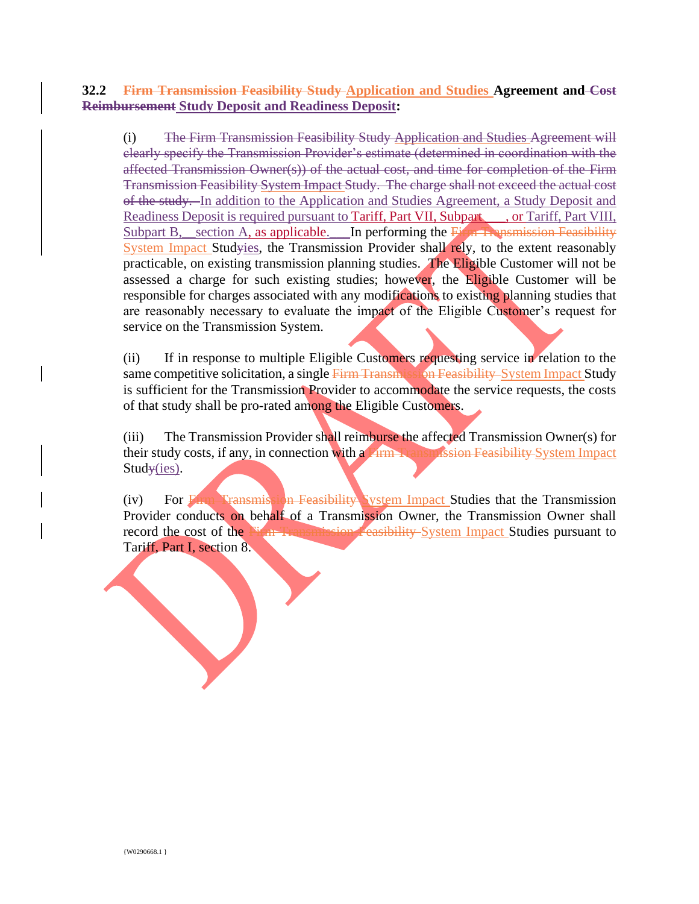## **32.2 Firm Transmission Feasibility Study Application and Studies Agreement and Cost Reimbursement Study Deposit and Readiness Deposit:**

(i) The Firm Transmission Feasibility Study Application and Studies Agreement will clearly specify the Transmission Provider's estimate (determined in coordination with the affected Transmission Owner(s)) of the actual cost, and time for completion of the Firm Transmission Feasibility System Impact Study. The charge shall not exceed the actual cost of the study. In addition to the Application and Studies Agreement, a Study Deposit and Readiness Deposit is required pursuant to Tariff, Part VII, Subpart , or Tariff, Part VIII, Subpart B, section A, as applicable. In performing the  $\overline{F}$  in Transmission Feasibility System Impact Studyies, the Transmission Provider shall rely, to the extent reasonably practicable, on existing transmission planning studies. The Eligible Customer will not be assessed a charge for such existing studies; however, the Eligible Customer will be responsible for charges associated with any modifications to existing planning studies that are reasonably necessary to evaluate the impact of the Eligible Customer's request for service on the Transmission System.

(ii) If in response to multiple Eligible Customers requesting service in relation to the same competitive solicitation, a single Firm Transmission Feasibility System Impact Study is sufficient for the Transmission Provider to accommodate the service requests, the costs of that study shall be pro-rated among the Eligible Customers.

(iii) The Transmission Provider shall reimburse the affected Transmission Owner(s) for their study costs, if any, in connection with a Firm Transmission Feasibility System Impact  $Stud\ast (ies)$ .

(iv) For Firm Transmission Feasibility System Impact Studies that the Transmission Provider conducts on behalf of a Transmission Owner, the Transmission Owner shall record the cost of the Firm Transmission Feasibility System Impact Studies pursuant to Tariff, Part I, section 8.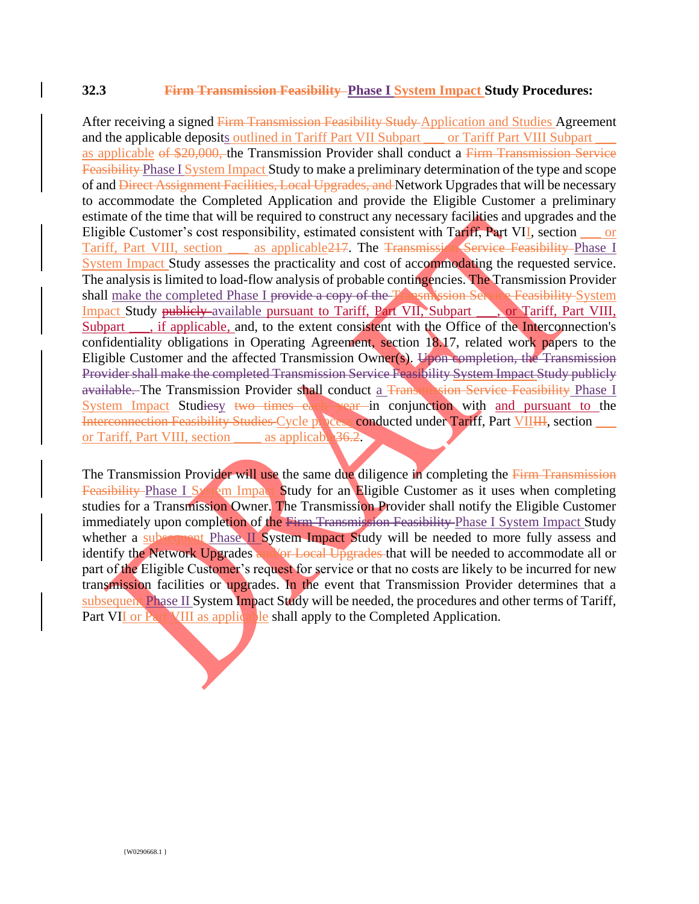#### **32.3 Firm Transmission Feasibility Phase I System Impact Study Procedures:**

After receiving a signed Firm Transmission Feasibility Study Application and Studies Agreement and the applicable deposits outlined in Tariff Part VII Subpart \_\_\_ or Tariff Part VIII Subpart as applicable of \$20,000, the Transmission Provider shall conduct a Firm Transmission Service Feasibility Phase I System Impact Study to make a preliminary determination of the type and scope of and Direct Assignment Facilities, Local Upgrades, and Network Upgrades that will be necessary to accommodate the Completed Application and provide the Eligible Customer a preliminary estimate of the time that will be required to construct any necessary facilities and upgrades and the Eligible Customer's cost responsibility, estimated consistent with Tariff, Part VII, section \_\_\_ or Tariff, Part VIII, section as applicable 217. The Transmission Service Feasibility Phase I System Impact Study assesses the practicality and cost of accommodating the requested service. The analysis is limited to load-flow analysis of probable contingencies. The Transmission Provider shall make the completed Phase I provide a copy of the Transmission Service Feasibility System Impact Study publicly available pursuant to Tariff, Part VII, Subpart on Tariff, Part VIII, Subpart , if applicable, and, to the extent consistent with the Office of the Interconnection's confidentiality obligations in Operating Agreement, section 18.17, related work papers to the Eligible Customer and the affected Transmission Owner(s). Upon completion, the Transmission Provider shall make the completed Transmission Service Feasibility System Impact Study publicly available. The Transmission Provider shall conduct a Transmission Service Feasibility Phase I System Impact Studiesy two times each year in conjunction with and pursuant to the Interconnection Feasibility Studies Cycle process conducted under Tariff, Part VIIIII, section \_\_\_ or Tariff, Part VIII, section \_\_\_\_\_ as applicable 36.2.

The Transmission Provider will use the same due diligence in completing the Firm Transmission Feasibility Phase I System Impact Study for an Eligible Customer as it uses when completing studies for a Transmission Owner. The Transmission Provider shall notify the Eligible Customer immediately upon completion of the Firm Transmission Feasibility Phase I System Impact Study whether a subsequent Phase II System Impact Study will be needed to more fully assess and identify the Network Upgrades and/or Local Upgrades that will be needed to accommodate all or part of the Eligible Customer's request for service or that no costs are likely to be incurred for new transmission facilities or upgrades. In the event that Transmission Provider determines that a subsequent Phase II System Impact Study will be needed, the procedures and other terms of Tariff, Part VII or Part VIII as applicable shall apply to the Completed Application.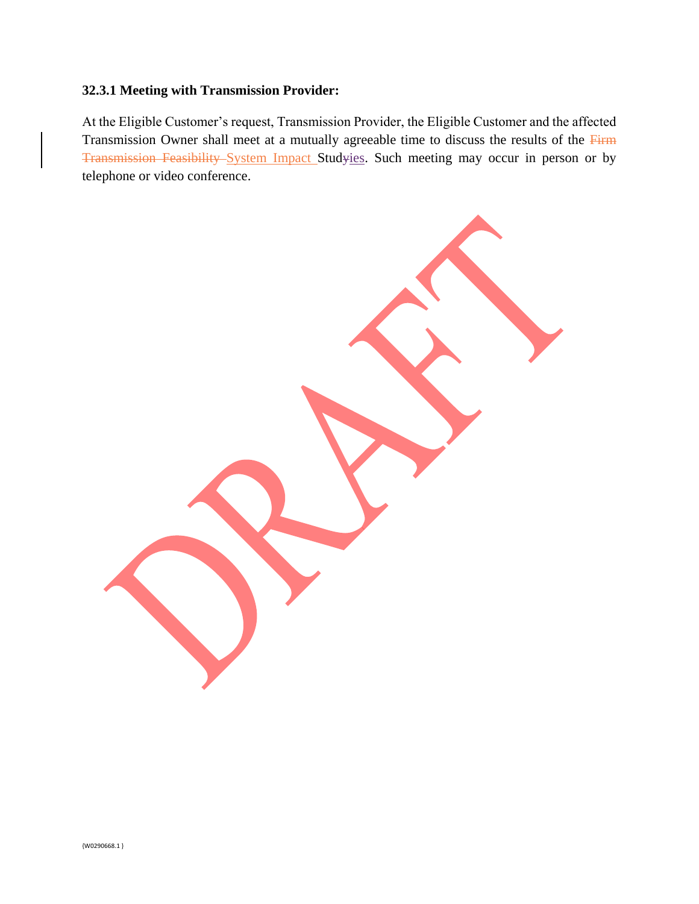## **32.3.1 Meeting with Transmission Provider:**

At the Eligible Customer's request, Transmission Provider, the Eligible Customer and the affected Transmission Owner shall meet at a mutually agreeable time to discuss the results of the Firm Transmission Feasibility System Impact Studyies. Such meeting may occur in person or by telephone or video conference.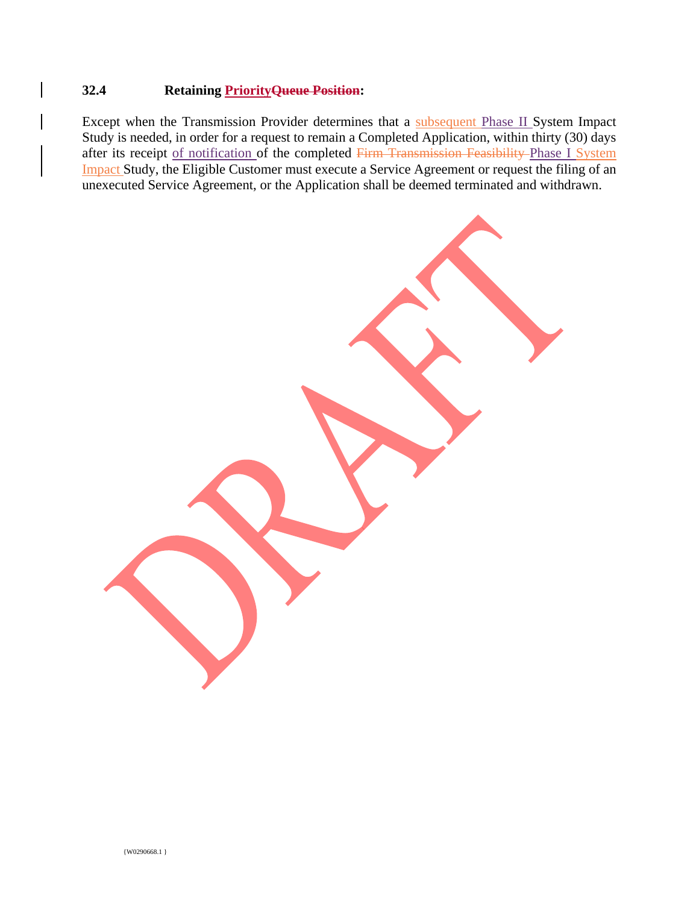## **32.4 Retaining PriorityQueue Position:**

Except when the Transmission Provider determines that a subsequent Phase II System Impact Study is needed, in order for a request to remain a Completed Application, within thirty (30) days after its receipt of notification of the completed Firm Transmission Feasibility Phase I System Impact Study, the Eligible Customer must execute a Service Agreement or request the filing of an unexecuted Service Agreement, or the Application shall be deemed terminated and withdrawn.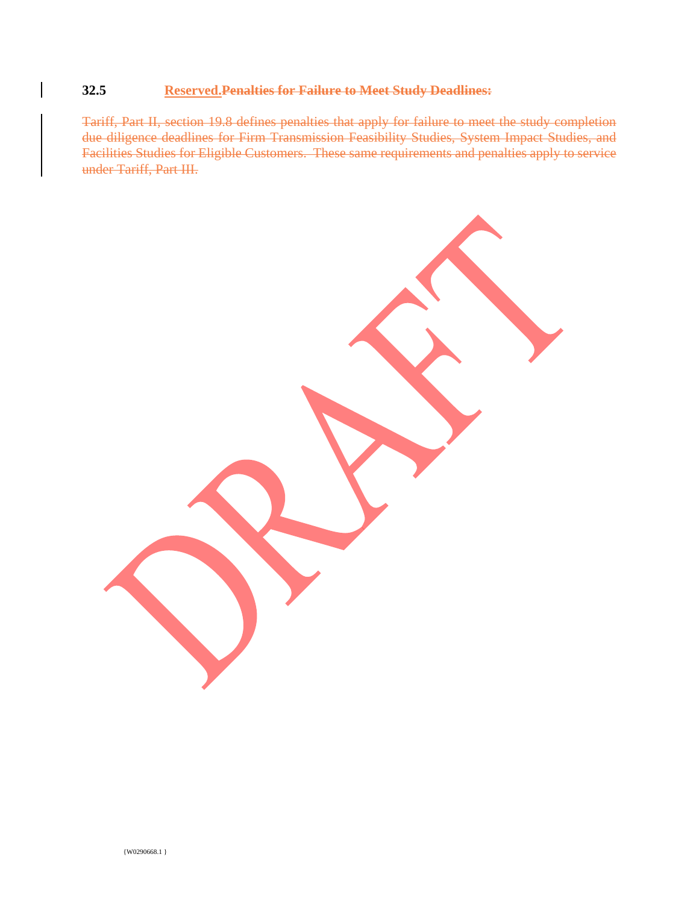## **32.5 Reserved.Penalties for Failure to Meet Study Deadlines:**

Tariff, Part II, section 19.8 defines penalties that apply for failure to meet the study completion due diligence deadlines for Firm Transmission Feasibility Studies, System Impact Studies, and Facilities Studies for Eligible Customers. These same requirements and penalties apply to service under Tariff, Part III.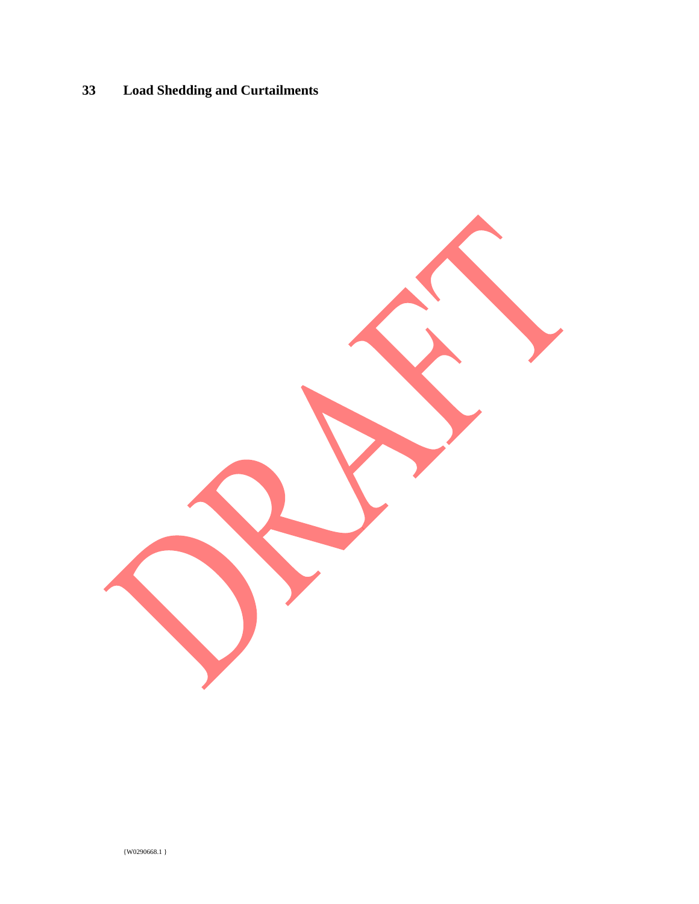# **33 Load Shedding and Curtailments**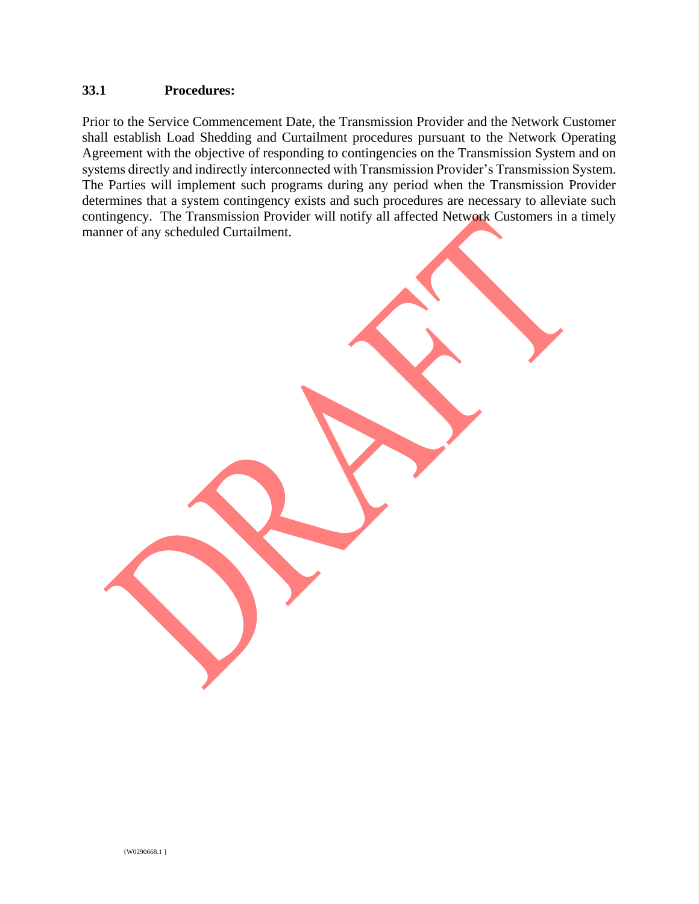## **33.1 Procedures:**

Prior to the Service Commencement Date, the Transmission Provider and the Network Customer shall establish Load Shedding and Curtailment procedures pursuant to the Network Operating Agreement with the objective of responding to contingencies on the Transmission System and on systems directly and indirectly interconnected with Transmission Provider's Transmission System. The Parties will implement such programs during any period when the Transmission Provider determines that a system contingency exists and such procedures are necessary to alleviate such contingency. The Transmission Provider will notify all affected Network Customers in a timely manner of any scheduled Curtailment.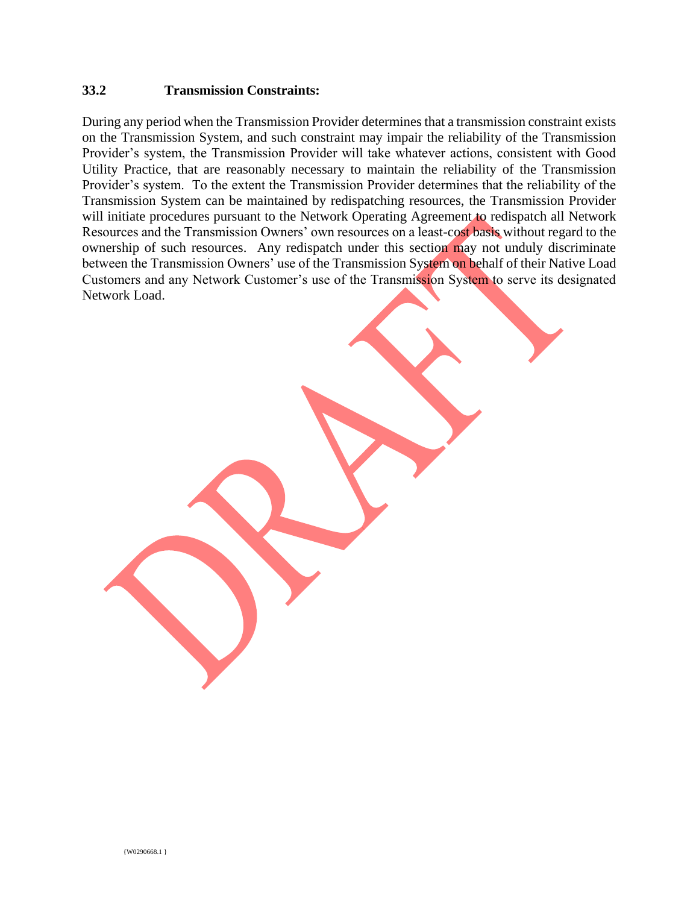#### **33.2 Transmission Constraints:**

During any period when the Transmission Provider determines that a transmission constraint exists on the Transmission System, and such constraint may impair the reliability of the Transmission Provider's system, the Transmission Provider will take whatever actions, consistent with Good Utility Practice, that are reasonably necessary to maintain the reliability of the Transmission Provider's system. To the extent the Transmission Provider determines that the reliability of the Transmission System can be maintained by redispatching resources, the Transmission Provider will initiate procedures pursuant to the Network Operating Agreement to redispatch all Network Resources and the Transmission Owners' own resources on a least-cost basis without regard to the ownership of such resources. Any redispatch under this section may not unduly discriminate between the Transmission Owners' use of the Transmission System on behalf of their Native Load Customers and any Network Customer's use of the Transmission System to serve its designated Network Load.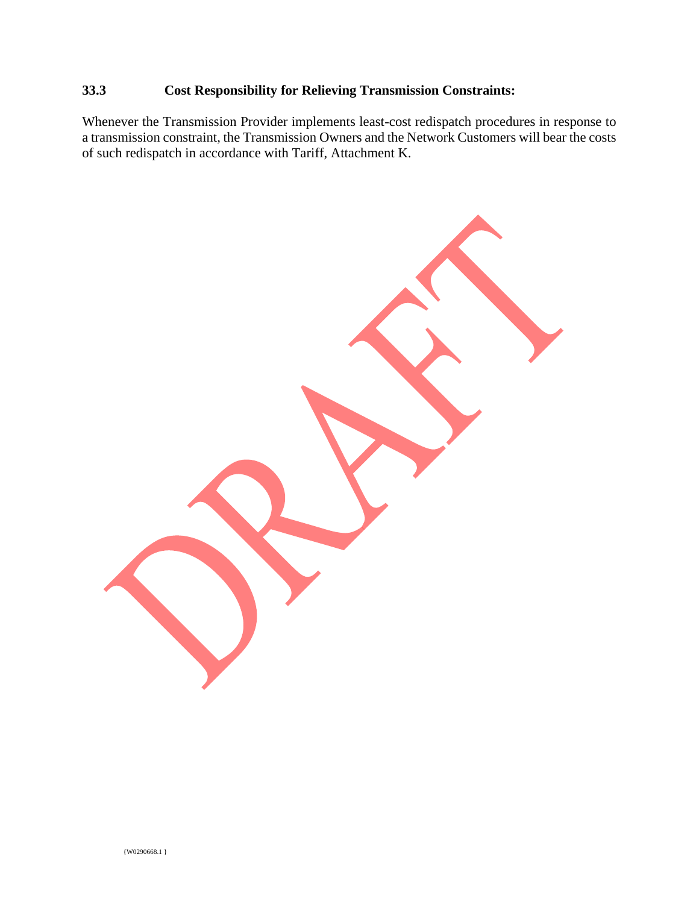## **33.3 Cost Responsibility for Relieving Transmission Constraints:**

Whenever the Transmission Provider implements least-cost redispatch procedures in response to a transmission constraint, the Transmission Owners and the Network Customers will bear the costs of such redispatch in accordance with Tariff, Attachment K.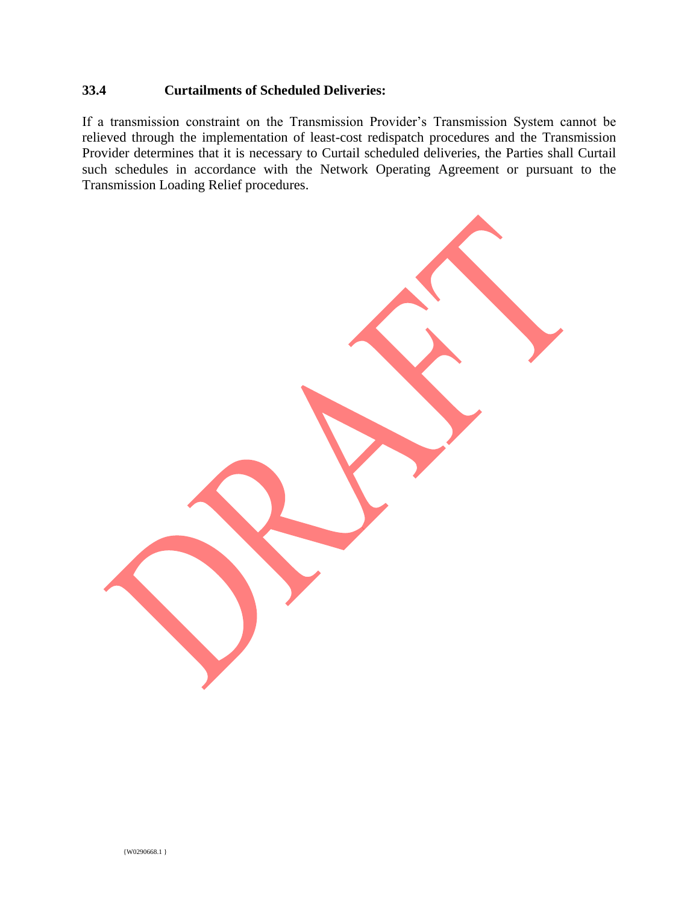## **33.4 Curtailments of Scheduled Deliveries:**

If a transmission constraint on the Transmission Provider's Transmission System cannot be relieved through the implementation of least-cost redispatch procedures and the Transmission Provider determines that it is necessary to Curtail scheduled deliveries, the Parties shall Curtail such schedules in accordance with the Network Operating Agreement or pursuant to the Transmission Loading Relief procedures.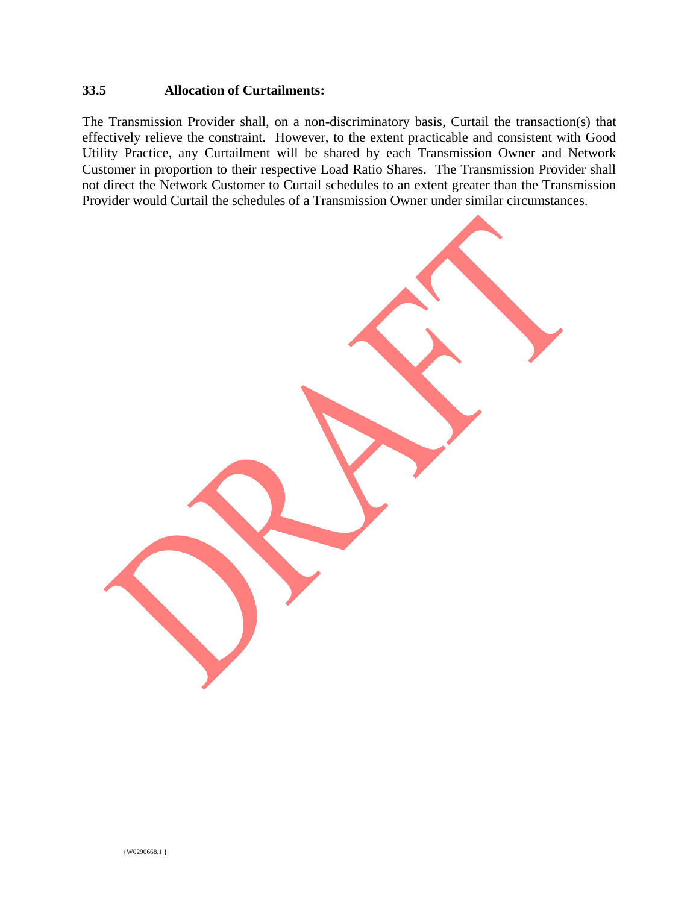## **33.5 Allocation of Curtailments:**

The Transmission Provider shall, on a non-discriminatory basis, Curtail the transaction(s) that effectively relieve the constraint. However, to the extent practicable and consistent with Good Utility Practice, any Curtailment will be shared by each Transmission Owner and Network Customer in proportion to their respective Load Ratio Shares. The Transmission Provider shall not direct the Network Customer to Curtail schedules to an extent greater than the Transmission Provider would Curtail the schedules of a Transmission Owner under similar circumstances.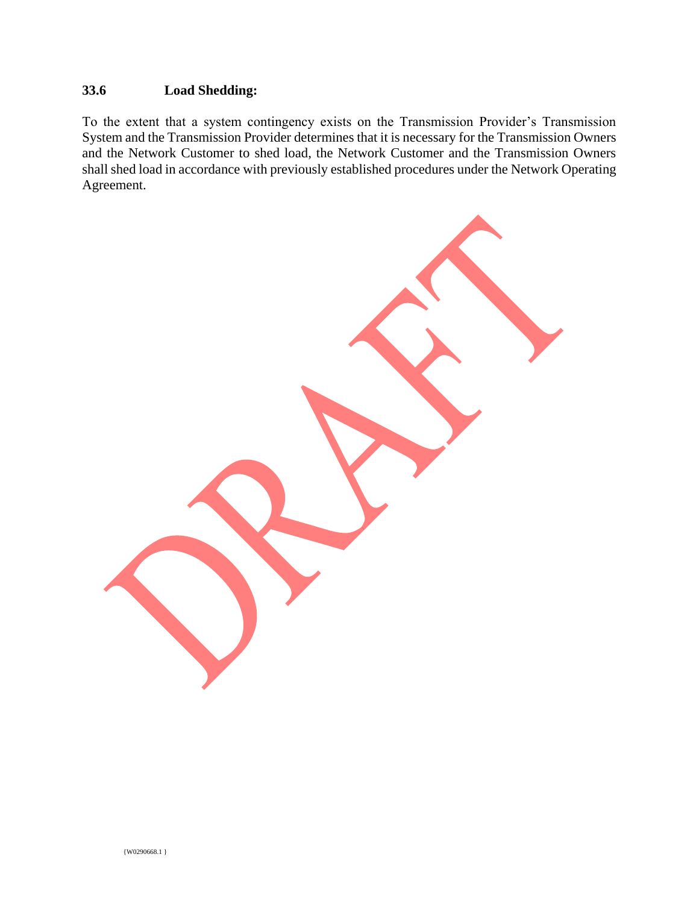## **33.6 Load Shedding:**

To the extent that a system contingency exists on the Transmission Provider's Transmission System and the Transmission Provider determines that it is necessary for the Transmission Owners and the Network Customer to shed load, the Network Customer and the Transmission Owners shall shed load in accordance with previously established procedures under the Network Operating Agreement.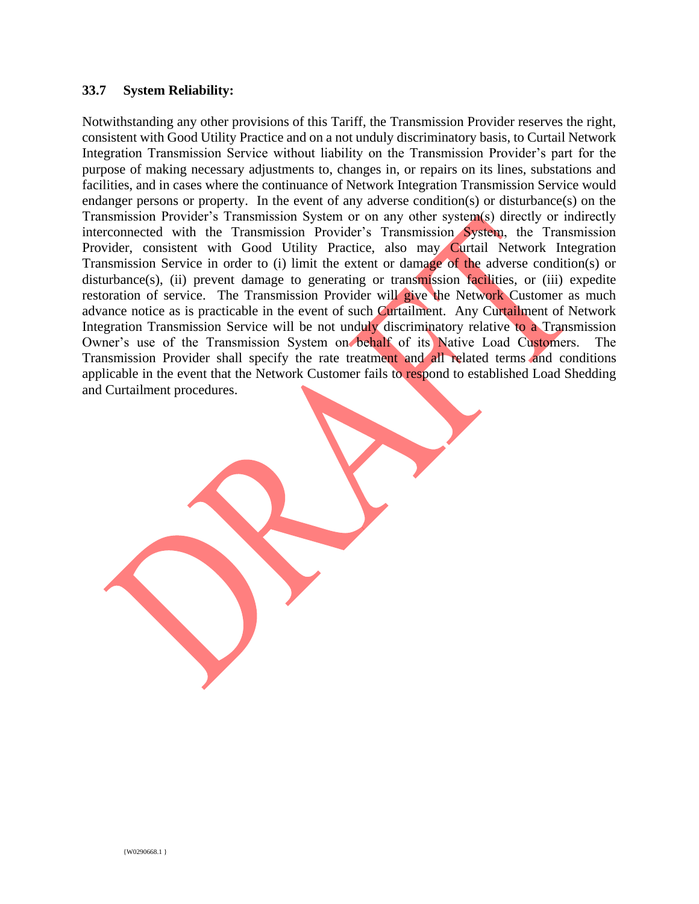#### **33.7 System Reliability:**

Notwithstanding any other provisions of this Tariff, the Transmission Provider reserves the right, consistent with Good Utility Practice and on a not unduly discriminatory basis, to Curtail Network Integration Transmission Service without liability on the Transmission Provider's part for the purpose of making necessary adjustments to, changes in, or repairs on its lines, substations and facilities, and in cases where the continuance of Network Integration Transmission Service would endanger persons or property. In the event of any adverse condition(s) or disturbance(s) on the Transmission Provider's Transmission System or on any other system(s) directly or indirectly interconnected with the Transmission Provider's Transmission System, the Transmission Provider, consistent with Good Utility Practice, also may Curtail Network Integration Transmission Service in order to (i) limit the extent or damage of the adverse condition(s) or disturbance(s), (ii) prevent damage to generating or transmission facilities, or (iii) expedite restoration of service. The Transmission Provider will give the Network Customer as much advance notice as is practicable in the event of such Curtailment. Any Curtailment of Network Integration Transmission Service will be not unduly discriminatory relative to a Transmission Owner's use of the Transmission System on behalf of its Native Load Customers. The Transmission Provider shall specify the rate treatment and all related terms and conditions applicable in the event that the Network Customer fails to respond to established Load Shedding and Curtailment procedures.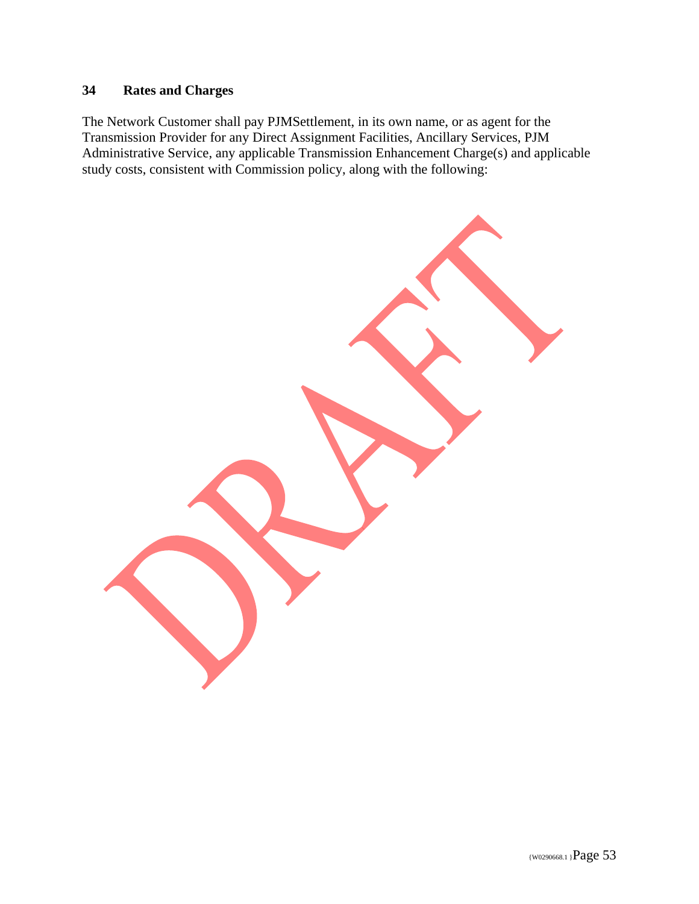## **34 Rates and Charges**

The Network Customer shall pay PJMSettlement, in its own name, or as agent for the Transmission Provider for any Direct Assignment Facilities, Ancillary Services, PJM Administrative Service, any applicable Transmission Enhancement Charge(s) and applicable study costs, consistent with Commission policy, along with the following: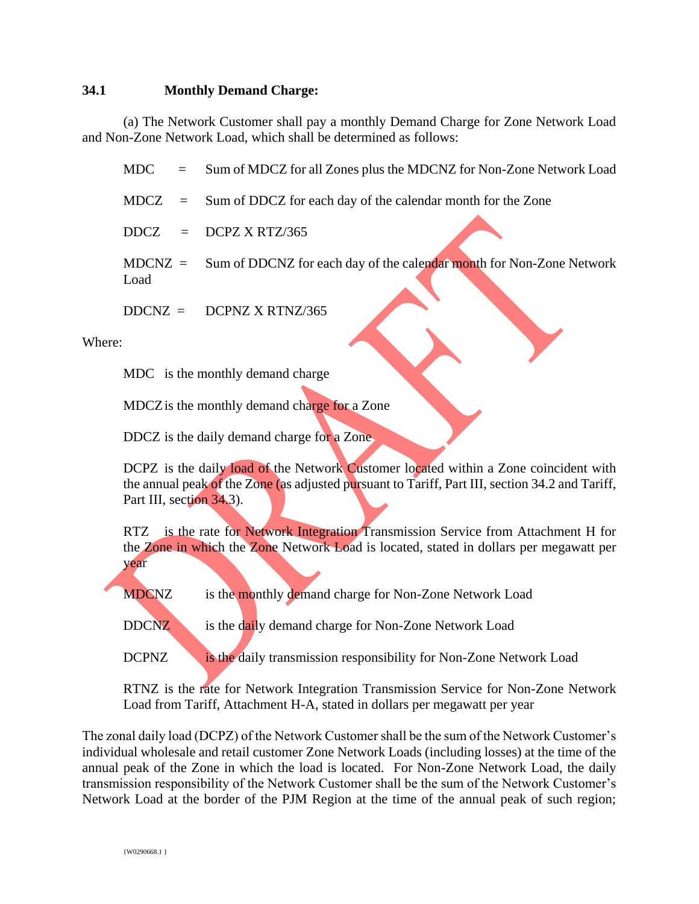### **34.1 Monthly Demand Charge:**

(a) The Network Customer shall pay a monthly Demand Charge for Zone Network Load and Non-Zone Network Load, which shall be determined as follows:

MDC = Sum of MDCZ for all Zones plus the MDCNZ for Non-Zone Network Load

- MDCZ = Sum of DDCZ for each day of the calendar month for the Zone
- $DDCZ = DCPZ X RTZ/365$
- MDCNZ = Sum of DDCNZ for each day of the calendar month for Non-Zone Network Load
- $DDCNZ = DCPNZ X RTNZ/365$

Where:

MDC is the monthly demand charge

MDCZ is the monthly demand charge for a Zone

DDCZ is the daily demand charge for a Zone.

DCPZ is the daily load of the Network Customer located within a Zone coincident with the annual peak of the Zone (as adjusted pursuant to Tariff, Part III, section 34.2 and Tariff, Part III, section 34.3).

RTZ is the rate for Network Integration Transmission Service from Attachment H for the Zone in which the Zone Network Load is located, stated in dollars per megawatt per year

MDCNZ is the monthly demand charge for Non-Zone Network Load

DDCNZ is the daily demand charge for Non-Zone Network Load

DCPNZ is the daily transmission responsibility for Non-Zone Network Load

RTNZ is the rate for Network Integration Transmission Service for Non-Zone Network Load from Tariff, Attachment H-A, stated in dollars per megawatt per year

The zonal daily load (DCPZ) of the Network Customer shall be the sum of the Network Customer's individual wholesale and retail customer Zone Network Loads (including losses) at the time of the annual peak of the Zone in which the load is located. For Non-Zone Network Load, the daily transmission responsibility of the Network Customer shall be the sum of the Network Customer's Network Load at the border of the PJM Region at the time of the annual peak of such region;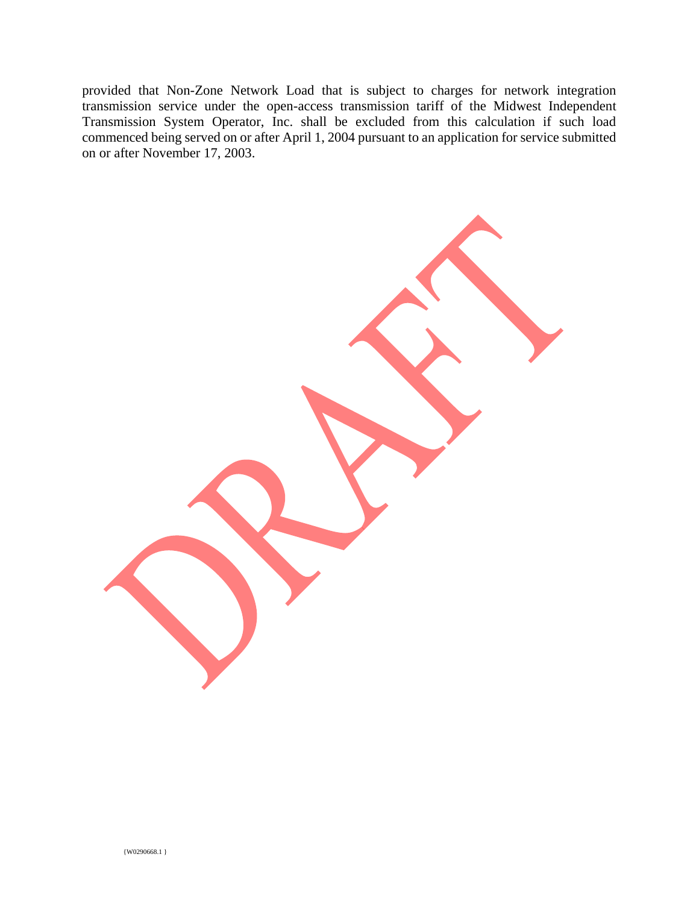provided that Non-Zone Network Load that is subject to charges for network integration transmission service under the open-access transmission tariff of the Midwest Independent Transmission System Operator, Inc. shall be excluded from this calculation if such load commenced being served on or after April 1, 2004 pursuant to an application for service submitted on or after November 17, 2003.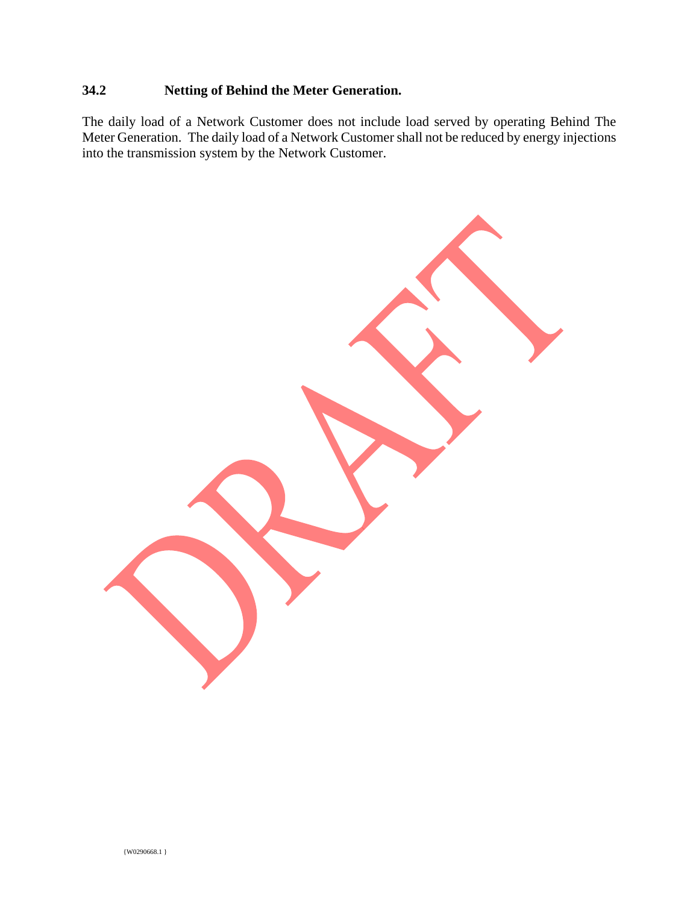## **34.2 Netting of Behind the Meter Generation.**

The daily load of a Network Customer does not include load served by operating Behind The Meter Generation. The daily load of a Network Customer shall not be reduced by energy injections into the transmission system by the Network Customer.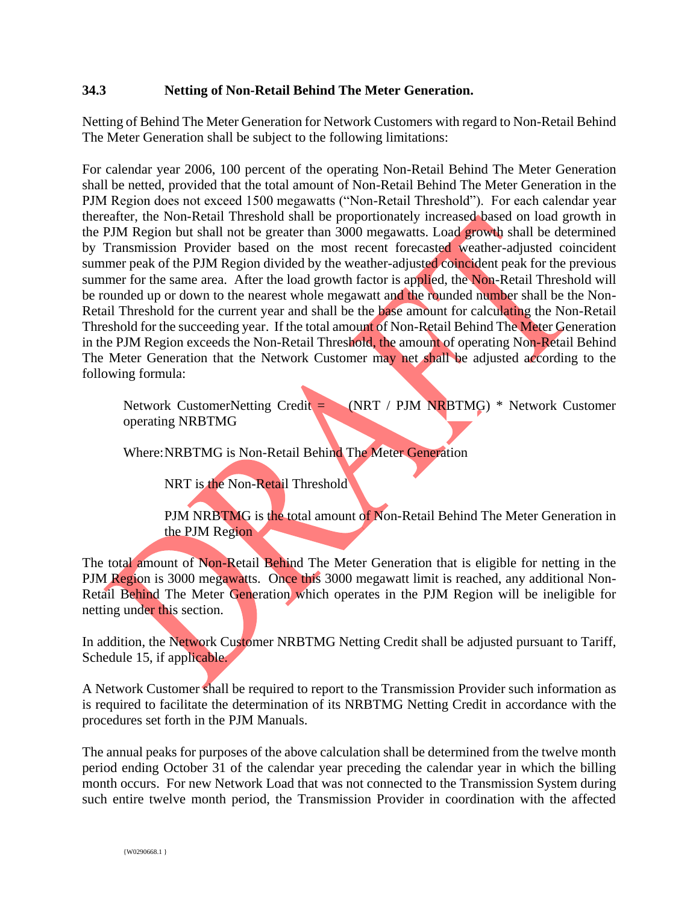## **34.3 Netting of Non-Retail Behind The Meter Generation.**

Netting of Behind The Meter Generation for Network Customers with regard to Non-Retail Behind The Meter Generation shall be subject to the following limitations:

For calendar year 2006, 100 percent of the operating Non-Retail Behind The Meter Generation shall be netted, provided that the total amount of Non-Retail Behind The Meter Generation in the PJM Region does not exceed 1500 megawatts ("Non-Retail Threshold"). For each calendar year thereafter, the Non-Retail Threshold shall be proportionately increased based on load growth in the PJM Region but shall not be greater than 3000 megawatts. Load growth shall be determined by Transmission Provider based on the most recent forecasted weather-adjusted coincident summer peak of the PJM Region divided by the weather-adjusted coincident peak for the previous summer for the same area. After the load growth factor is applied, the Non-Retail Threshold will be rounded up or down to the nearest whole megawatt and the rounded number shall be the Non-Retail Threshold for the current year and shall be the base amount for calculating the Non-Retail Threshold for the succeeding year. If the total amount of Non-Retail Behind The Meter Generation in the PJM Region exceeds the Non-Retail Threshold, the amount of operating Non-Retail Behind The Meter Generation that the Network Customer may net shall be adjusted according to the following formula:

Network CustomerNetting Credit = (NRT / PJM NRBTMG) \* Network Customer operating NRBTMG

Where:NRBTMG is Non-Retail Behind The Meter Generation

NRT is the Non-Retail Threshold

PJM NRBTMG is the total amount of Non-Retail Behind The Meter Generation in the PJM Region

The total amount of Non-Retail Behind The Meter Generation that is eligible for netting in the PJM Region is 3000 megawatts. Once this 3000 megawatt limit is reached, any additional Non-Retail Behind The Meter Generation which operates in the PJM Region will be ineligible for netting under this section.

In addition, the Network Customer NRBTMG Netting Credit shall be adjusted pursuant to Tariff, Schedule 15, if applicable.

A Network Customer shall be required to report to the Transmission Provider such information as is required to facilitate the determination of its NRBTMG Netting Credit in accordance with the procedures set forth in the PJM Manuals.

The annual peaks for purposes of the above calculation shall be determined from the twelve month period ending October 31 of the calendar year preceding the calendar year in which the billing month occurs. For new Network Load that was not connected to the Transmission System during such entire twelve month period, the Transmission Provider in coordination with the affected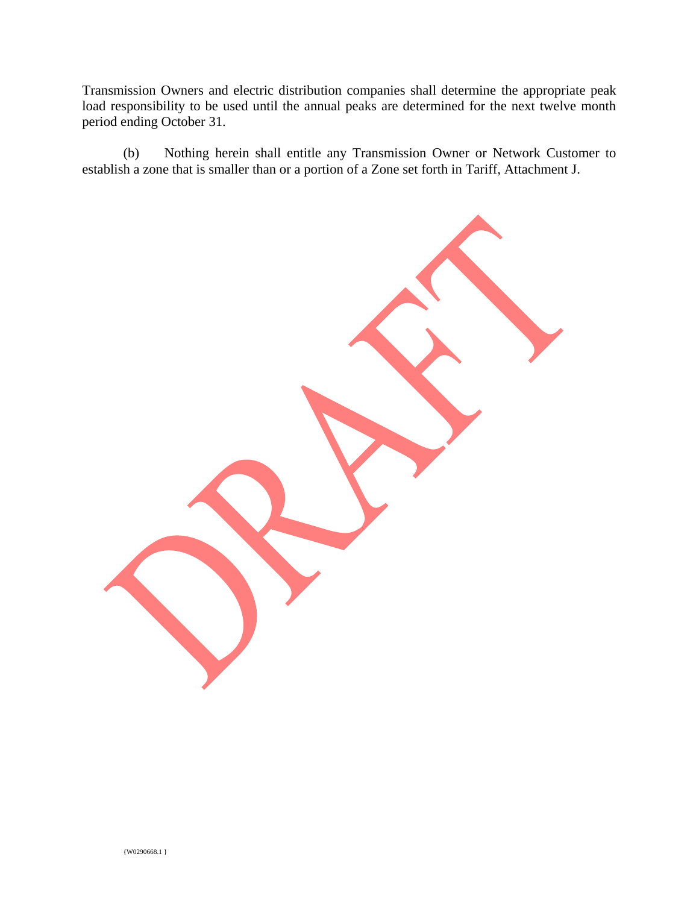Transmission Owners and electric distribution companies shall determine the appropriate peak load responsibility to be used until the annual peaks are determined for the next twelve month period ending October 31.

(b) Nothing herein shall entitle any Transmission Owner or Network Customer to establish a zone that is smaller than or a portion of a Zone set forth in Tariff, Attachment J.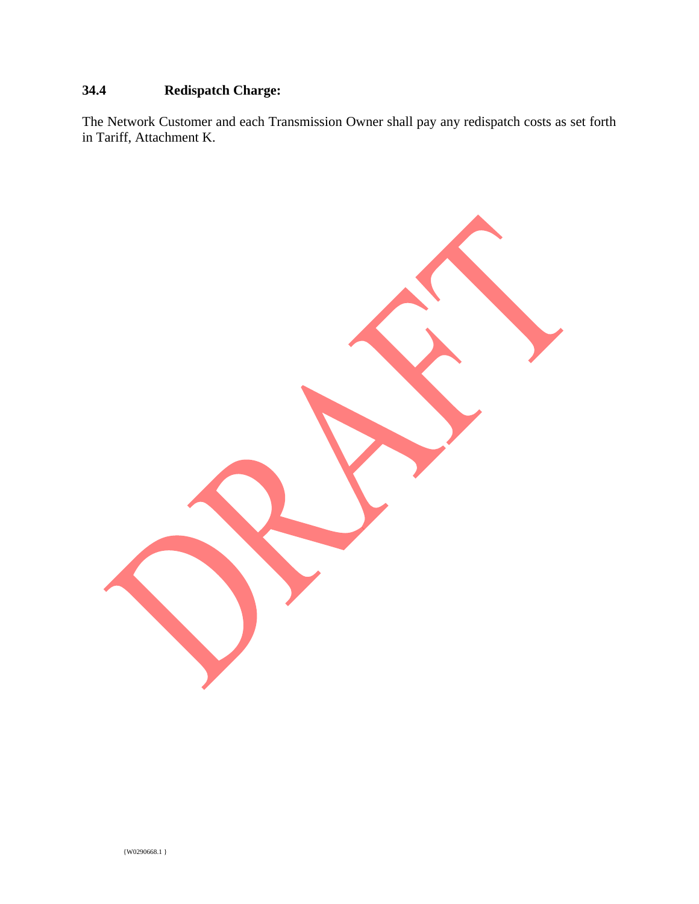## **34.4 Redispatch Charge:**

The Network Customer and each Transmission Owner shall pay any redispatch costs as set forth in Tariff, Attachment K.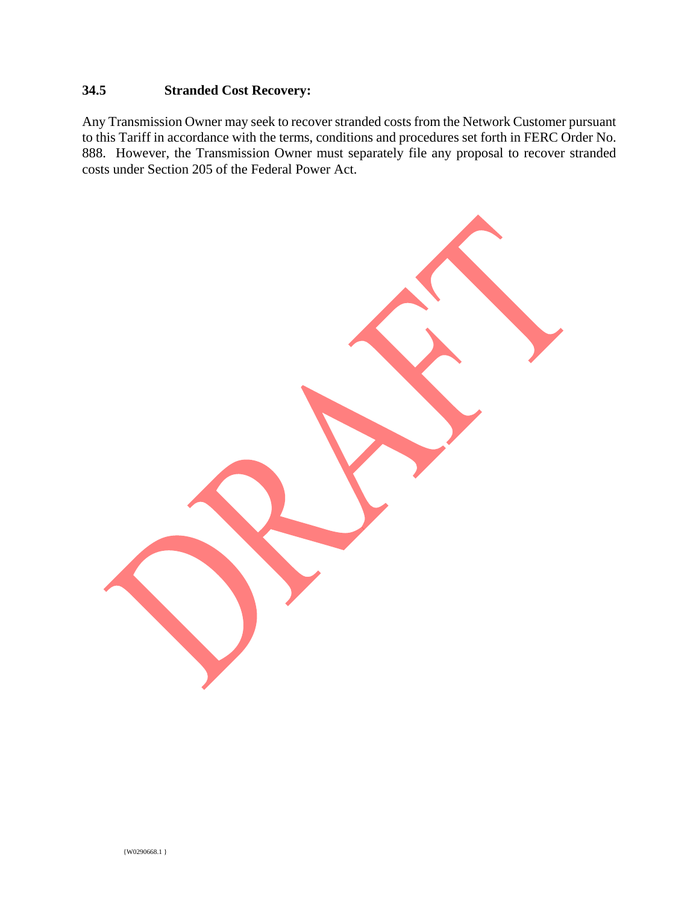## **34.5 Stranded Cost Recovery:**

Any Transmission Owner may seek to recover stranded costs from the Network Customer pursuant to this Tariff in accordance with the terms, conditions and procedures set forth in FERC Order No. 888. However, the Transmission Owner must separately file any proposal to recover stranded costs under Section 205 of the Federal Power Act.

{W0290668.1 }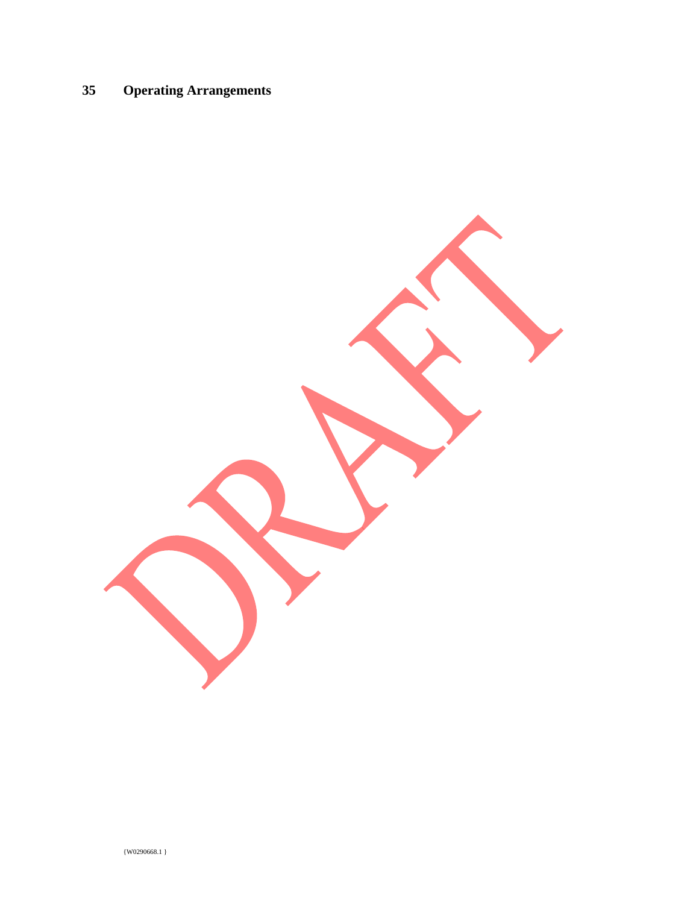# **35 Operating Arrangements**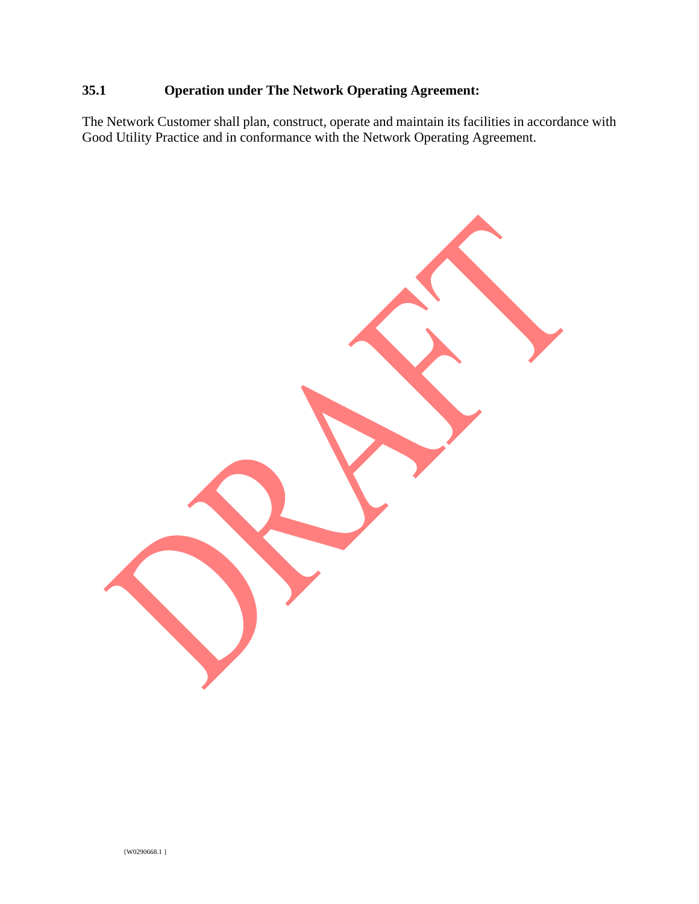## **35.1 Operation under The Network Operating Agreement:**

The Network Customer shall plan, construct, operate and maintain its facilities in accordance with Good Utility Practice and in conformance with the Network Operating Agreement.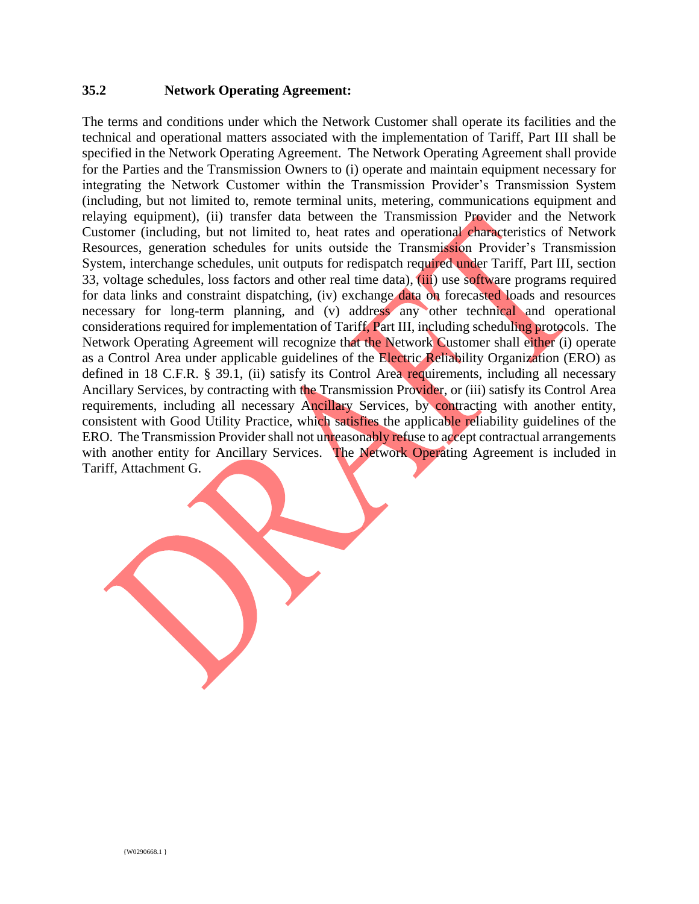### **35.2 Network Operating Agreement:**

The terms and conditions under which the Network Customer shall operate its facilities and the technical and operational matters associated with the implementation of Tariff, Part III shall be specified in the Network Operating Agreement. The Network Operating Agreement shall provide for the Parties and the Transmission Owners to (i) operate and maintain equipment necessary for integrating the Network Customer within the Transmission Provider's Transmission System (including, but not limited to, remote terminal units, metering, communications equipment and relaying equipment), (ii) transfer data between the Transmission Provider and the Network Customer (including, but not limited to, heat rates and operational characteristics of Network Resources, generation schedules for units outside the Transmission Provider's Transmission System, interchange schedules, unit outputs for redispatch required under Tariff, Part III, section 33, voltage schedules, loss factors and other real time data), (iii) use software programs required for data links and constraint dispatching, (iv) exchange data on forecasted loads and resources necessary for long-term planning, and (v) address any other technical and operational considerations required for implementation of Tariff, Part III, including scheduling protocols. The Network Operating Agreement will recognize that the Network Customer shall either (i) operate as a Control Area under applicable guidelines of the Electric Reliability Organization (ERO) as defined in 18 C.F.R. § 39.1, (ii) satisfy its Control Area requirements, including all necessary Ancillary Services, by contracting with the Transmission Provider, or (iii) satisfy its Control Area requirements, including all necessary Ancillary Services, by contracting with another entity, consistent with Good Utility Practice, which satisfies the applicable reliability guidelines of the ERO. The Transmission Provider shall not unreasonably refuse to accept contractual arrangements with another entity for Ancillary Services. The Network Operating Agreement is included in Tariff, Attachment G.